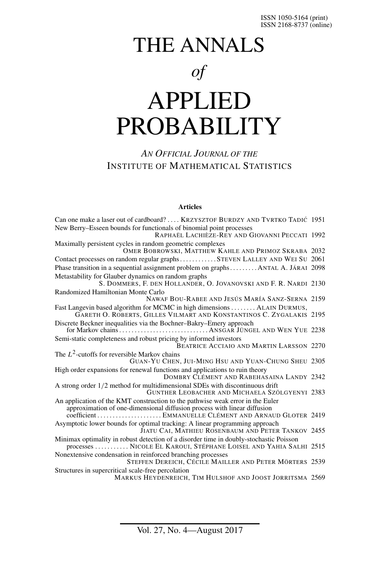# THE ANNALS *of* APPLIED PROBABILITY

# *AN OFFICIAL JOURNAL OF THE* INSTITUTE OF MATHEMATICAL STATISTICS

#### **Articles**

| Can one make a laser out of cardboard?  KRZYSZTOF BURDZY AND TVRTKO TADIĆ 1951                                                                                                                                       |  |
|----------------------------------------------------------------------------------------------------------------------------------------------------------------------------------------------------------------------|--|
| New Berry–Esseen bounds for functionals of binomial point processes<br>RAPHAËL LACHIÈZE-REY AND GIOVANNI PECCATI 1992                                                                                                |  |
| Maximally persistent cycles in random geometric complexes                                                                                                                                                            |  |
| OMER BOBROWSKI, MATTHEW KAHLE AND PRIMOZ SKRABA 2032                                                                                                                                                                 |  |
| Contact processes on random regular graphsSTEVEN LALLEY AND WEI SU 2061                                                                                                                                              |  |
| Phase transition in a sequential assignment problem on graphsANTAL A. JÁRAI 2098                                                                                                                                     |  |
| Metastability for Glauber dynamics on random graphs<br>S. DOMMERS, F. DEN HOLLANDER, O. JOVANOVSKI AND F. R. NARDI 2130                                                                                              |  |
| Randomized Hamiltonian Monte Carlo                                                                                                                                                                                   |  |
| NAWAF BOU-RABEE AND JESÚS MARÍA SANZ-SERNA 2159                                                                                                                                                                      |  |
| Fast Langevin based algorithm for MCMC in high dimensions  ALAIN DURMUS,<br>GARETH O. ROBERTS, GILLES VILMART AND KONSTANTINOS C. ZYGALAKIS 2195                                                                     |  |
| Discrete Beckner inequalities via the Bochner-Bakry-Emery approach                                                                                                                                                   |  |
| Semi-static completeness and robust pricing by informed investors<br><b>BEATRICE ACCIAIO AND MARTIN LARSSON 2270</b>                                                                                                 |  |
| The $L^2$ -cutoffs for reversible Markov chains<br>GUAN-YU CHEN, JUI-MING HSU AND YUAN-CHUNG SHEU 2305                                                                                                               |  |
| High order expansions for renewal functions and applications to ruin theory<br>DOMBRY CLÉMENT AND RABEHASAINA LANDY 2342                                                                                             |  |
| A strong order 1/2 method for multidimensional SDEs with discontinuous drift<br><b>GUNTHER LEOBACHER AND MICHAELA SZÖLGYENYI 2383</b>                                                                                |  |
| An application of the KMT construction to the pathwise weak error in the Euler<br>approximation of one-dimensional diffusion process with linear diffusion<br>coefficient  EMMANUELLE CLÉMENT AND ARNAUD GLOTER 2419 |  |
| Asymptotic lower bounds for optimal tracking: A linear programming approach<br>JIATU CAI, MATHIEU ROSENBAUM AND PETER TANKOV 2455                                                                                    |  |
| Minimax optimality in robust detection of a disorder time in doubly-stochastic Poisson<br>processes  NICOLE EL KAROUI, STÉPHANE LOISEL AND YAHIA SALHI 2515                                                          |  |
| Nonextensive condensation in reinforced branching processes<br>STEFFEN DEREICH, CÉCILE MAILLER AND PETER MÖRTERS 2539                                                                                                |  |
| Structures in supercritical scale-free percolation<br>MARKUS HEYDENREICH, TIM HULSHOF AND JOOST JORRITSMA 2569                                                                                                       |  |
|                                                                                                                                                                                                                      |  |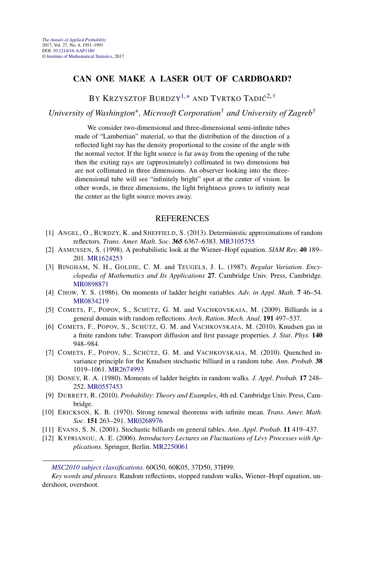# <span id="page-1-0"></span>**CAN ONE MAKE A LASER OUT OF CARDBOARD?**

BY KRZYSZTOF BURDZY<sup>1,\*</sup> AND TVRTKO TADIĆ<sup>2,†</sup>

*University of Washington*∗*, Microsoft Corporation*† *and University of Zagreb*†

We consider two-dimensional and three-dimensional semi-infinite tubes made of "Lambertian" material, so that the distribution of the direction of a reflected light ray has the density proportional to the cosine of the angle with the normal vector. If the light source is far away from the opening of the tube then the exiting rays are (approximately) collimated in two dimensions but are not collimated in three dimensions. An observer looking into the threedimensional tube will see "infinitely bright" spot at the center of vision. In other words, in three dimensions, the light brightness grows to infinity near the center as the light source moves away.

- [1] ANGEL, O., BURDZY, K. and SHEFFIELD, S. (2013). Deterministic approximations of random reflectors. *Trans*. *Amer*. *Math*. *Soc*. **365** 6367–6383. [MR3105755](http://www.ams.org/mathscinet-getitem?mr=3105755)
- [2] ASMUSSEN, S. (1998). A probabilistic look at the Wiener–Hopf equation. *SIAM Rev*. **40** 189– 201. [MR1624253](http://www.ams.org/mathscinet-getitem?mr=1624253)
- [3] BINGHAM, N. H., GOLDIE, C. M. and TEUGELS, J. L. (1987). *Regular Variation*. *Encyclopedia of Mathematics and Its Applications* **27**. Cambridge Univ. Press, Cambridge. [MR0898871](http://www.ams.org/mathscinet-getitem?mr=0898871)
- [4] CHOW, Y. S. (1986). On moments of ladder height variables. *Adv*. *in Appl*. *Math*. **7** 46–54. [MR0834219](http://www.ams.org/mathscinet-getitem?mr=0834219)
- [5] COMETS, F., POPOV, S., SCHÜTZ, G. M. and VACHKOVSKAIA, M. (2009). Billiards in a general domain with random reflections. *Arch*. *Ration*. *Mech*. *Anal*. **191** 497–537.
- [6] COMETS, F., POPOV, S., SCHÜTZ, G. M. and VACHKOVSKAIA, M. (2010). Knudsen gas in a finite random tube: Transport diffusion and first passage properties. *J*. *Stat*. *Phys*. **140** 948–984.
- [7] COMETS, F., POPOV, S., SCHÜTZ, G. M. and VACHKOVSKAIA, M. (2010). Quenched invariance principle for the Knudsen stochastic billiard in a random tube. *Ann*. *Probab*. **38** 1019–1061. [MR2674993](http://www.ams.org/mathscinet-getitem?mr=2674993)
- [8] DONEY, R. A. (1980). Moments of ladder heights in random walks. *J*. *Appl*. *Probab*. **17** 248– 252. [MR0557453](http://www.ams.org/mathscinet-getitem?mr=0557453)
- [9] DURRETT, R. (2010). *Probability*: *Theory and Examples*, 4th ed. Cambridge Univ. Press, Cambridge.
- [10] ERICKSON, K. B. (1970). Strong renewal theorems with infinite mean. *Trans*. *Amer*. *Math*. *Soc*. **151** 263–291. [MR0268976](http://www.ams.org/mathscinet-getitem?mr=0268976)
- [11] EVANS, S. N. (2001). Stochastic billiards on general tables. *Ann*. *Appl*. *Probab*. **11** 419–437.
- [12] KYPRIANOU, A. E. (2006). *Introductory Lectures on Fluctuations of Lévy Processes with Applications*. Springer, Berlin. [MR2250061](http://www.ams.org/mathscinet-getitem?mr=2250061)

*[MSC2010 subject classifications.](http://www.ams.org/mathscinet/msc/msc2010.html)* 60G50, 60K05, 37D50, 37H99.

*Key words and phrases.* Random reflections, stopped random walks, Wiener–Hopf equation, undershoot, overshoot.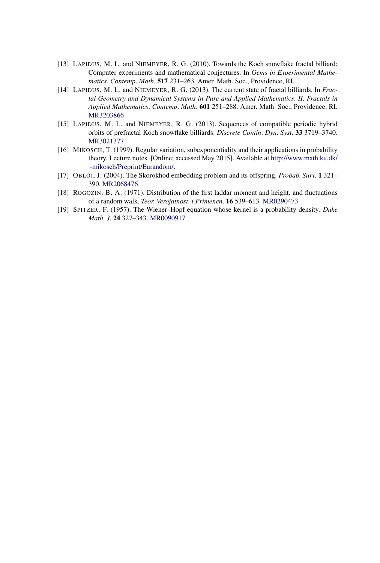- [13] LAPIDUS, M. L. and NIEMEYER, R. G. (2010). Towards the Koch snowflake fractal billiard: Computer experiments and mathematical conjectures. In *Gems in Experimental Mathematics*. *Contemp*. *Math*. **517** 231–263. Amer. Math. Soc., Providence, RI.
- [14] LAPIDUS, M. L. and NIEMEYER, R. G. (2013). The current state of fractal billiards. In *Fractal Geometry and Dynamical Systems in Pure and Applied Mathematics*. *II*. *Fractals in Applied Mathematics*. *Contemp*. *Math*. **601** 251–288. Amer. Math. Soc., Providence, RI. [MR3203866](http://www.ams.org/mathscinet-getitem?mr=3203866)
- [15] LAPIDUS, M. L. and NIEMEYER, R. G. (2013). Sequences of compatible periodic hybrid orbits of prefractal Koch snowflake billiards. *Discrete Contin*. *Dyn*. *Syst*. **33** 3719–3740. [MR3021377](http://www.ams.org/mathscinet-getitem?mr=3021377)
- [16] MIKOSCH, T. (1999). Regular variation, subexponentiality and their applications in probability theory. Lecture notes. [Online; accessed May 2015]. Available at [http://www.math.ku.dk/](http://www.math.ku.dk/~mikosch/Preprint/Eurandom/) [~mikosch/Preprint/Eurandom/](http://www.math.ku.dk/~mikosch/Preprint/Eurandom/).
- [17] OBŁÓJ, J. (2004). The Skorokhod embedding problem and its offspring. *Probab*. *Surv*. **1** 321– 390. [MR2068476](http://www.ams.org/mathscinet-getitem?mr=2068476)
- [18] ROGOZIN, B. A. (1971). Distribution of the first laddar moment and height, and fluctuations of a random walk. *Teor*. *Verojatnost*. *i Primenen*. **16** 539–613. [MR0290473](http://www.ams.org/mathscinet-getitem?mr=0290473)
- [19] SPITZER, F. (1957). The Wiener–Hopf equation whose kernel is a probability density. *Duke Math*. *J*. **24** 327–343. [MR0090917](http://www.ams.org/mathscinet-getitem?mr=0090917)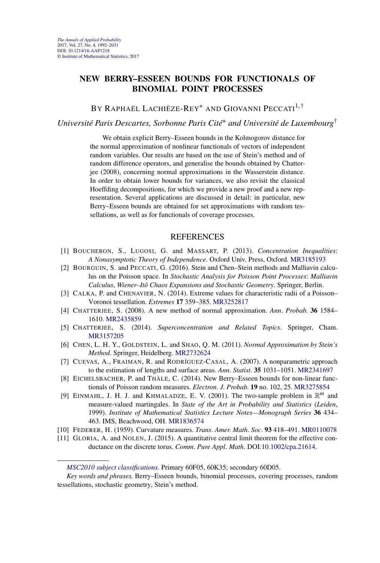# **NEW BERRY–ESSEEN BOUNDS FOR FUNCTIONALS OF BINOMIAL POINT PROCESSES**

BY RAPHAËL LACHIÈZE-REY<sup>\*</sup> AND GIOVANNI PECCATI<sup>1[,†](#page-1-0)</sup>

## *Université Paris Descartes, Sorbonne Paris Cité*<sup>∗</sup> *and Université de Luxembourg*†

We obtain explicit Berry–Esseen bounds in the Kolmogorov distance for the normal approximation of nonlinear functionals of vectors of independent random variables. Our results are based on the use of Stein's method and of random difference operators, and generalise the bounds obtained by Chatterjee (2008), concerning normal approximations in the Wasserstein distance. In order to obtain lower bounds for variances, we also revisit the classical Hoeffding decompositions, for which we provide a new proof and a new representation. Several applications are discussed in detail: in particular, new Berry–Esseen bounds are obtained for set approximations with random tessellations, as well as for functionals of coverage processes.

- [1] BOUCHERON, S., LUGOSI, G. and MASSART, P. (2013). *Concentration Inequalities*: *A Nonasymptotic Theory of Independence*. Oxford Univ. Press, Oxford. [MR3185193](http://www.ams.org/mathscinet-getitem?mr=3185193)
- [2] BOURGUIN, S. and PECCATI, G. (2016). Stein and Chen–Stein methods and Malliavin calculus on the Poisson space. In *Stochastic Analysis for Poisson Point Processes*: *Malliavin Calculus*, *Wiener–Itô Chaos Expansions and Stochastic Geometry*. Springer, Berlin.
- [3] CALKA, P. and CHENAVIER, N. (2014). Extreme values for characteristic radii of a Poisson-Voronoi tessellation. *Extremes* **17** 359–385. [MR3252817](http://www.ams.org/mathscinet-getitem?mr=3252817)
- [4] CHATTERJEE, S. (2008). A new method of normal approximation. *Ann*. *Probab*. **36** 1584– 1610. [MR2435859](http://www.ams.org/mathscinet-getitem?mr=2435859)
- [5] CHATTERJEE, S. (2014). *Superconcentration and Related Topics*. Springer, Cham. [MR3157205](http://www.ams.org/mathscinet-getitem?mr=3157205)
- [6] CHEN, L. H. Y., GOLDSTEIN, L. and SHAO, Q. M. (2011). *Normal Approximation by Stein's Method*. Springer, Heidelberg. [MR2732624](http://www.ams.org/mathscinet-getitem?mr=2732624)
- [7] CUEVAS, A., FRAIMAN, R. and RODRÍGUEZ-CASAL, A. (2007). A nonparametric approach to the estimation of lengths and surface areas. *Ann*. *Statist*. **35** 1031–1051. [MR2341697](http://www.ams.org/mathscinet-getitem?mr=2341697)
- [8] EICHELSBACHER, P. and THÄLE, C. (2014). New Berry–Esseen bounds for non-linear functionals of Poisson random measures. *Electron*. *J*. *Probab*. **19** no. 102, 25. [MR3275854](http://www.ams.org/mathscinet-getitem?mr=3275854)
- [9] EINMAHL, J. H. J. and KHMALADZE, E. V. (2001). The two-sample problem in R*<sup>m</sup>* and measure-valued martingales. In *State of the Art in Probability and Statistics* (*Leiden*, 1999). *Institute of Mathematical Statistics Lecture Notes—Monograph Series* **36** 434– 463. IMS, Beachwood, OH. [MR1836574](http://www.ams.org/mathscinet-getitem?mr=1836574)
- [10] FEDERER, H. (1959). Curvature measures. *Trans*. *Amer*. *Math*. *Soc*. **93** 418–491. [MR0110078](http://www.ams.org/mathscinet-getitem?mr=0110078)
- [11] GLORIA, A. and NOLEN, J. (2015). A quantitative central limit theorem for the effective conductance on the discrete torus. *Comm*. *Pure Appl*. *Math*. DOI[:10.1002/cpa.21614](http://dx.doi.org/10.1002/cpa.21614).

*[MSC2010 subject classifications.](http://www.ams.org/mathscinet/msc/msc2010.html)* Primary 60F05, 60K35; secondary 60D05.

*Key words and phrases.* Berry–Esseen bounds, binomial processes, covering processes, random tessellations, stochastic geometry, Stein's method.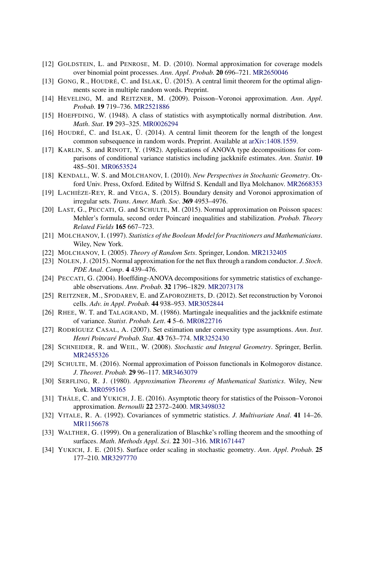- [12] GOLDSTEIN, L. and PENROSE, M. D. (2010). Normal approximation for coverage models over binomial point processes. *Ann*. *Appl*. *Probab*. **20** 696–721. [MR2650046](http://www.ams.org/mathscinet-getitem?mr=2650046)
- [13] GONG, R., HOUDRÉ, C. and ISLAK, Ü. (2015). A central limit theorem for the optimal alignments score in multiple random words. Preprint.
- [14] HEVELING, M. and REITZNER, M. (2009). Poisson–Voronoi approximation. *Ann*. *Appl*. *Probab*. **19** 719–736. [MR2521886](http://www.ams.org/mathscinet-getitem?mr=2521886)
- [15] HOEFFDING, W. (1948). A class of statistics with asymptotically normal distribution. *Ann*. *Math*. *Stat*. **19** 293–325. [MR0026294](http://www.ams.org/mathscinet-getitem?mr=0026294)
- [16] HOUDRÉ, C. and ISLAK, Ü. (2014). A central limit theorem for the length of the longest common subsequence in random words. Preprint. Available at [arXiv:1408.1559](http://arxiv.org/abs/arXiv:1408.1559).
- [17] KARLIN, S. and RINOTT, Y. (1982). Applications of ANOVA type decompositions for comparisons of conditional variance statistics including jackknife estimates. *Ann*. *Statist*. **10** 485–501. [MR0653524](http://www.ams.org/mathscinet-getitem?mr=0653524)
- [18] KENDALL, W. S. and MOLCHANOV, I. (2010). *New Perspectives in Stochastic Geometry*. Oxford Univ. Press, Oxford. Edited by Wilfrid S. Kendall and Ilya Molchanov. [MR2668353](http://www.ams.org/mathscinet-getitem?mr=2668353)
- [19] LACHIÈZE-REY, R. and VEGA, S. (2015). Boundary density and Voronoi approximation of irregular sets. *Trans*. *Amer*. *Math*. *Soc*. **369** 4953–4976.
- [20] LAST, G., PECCATI, G. and SCHULTE, M. (2015). Normal approximation on Poisson spaces: Mehler's formula, second order Poincaré inequalities and stabilization. *Probab*. *Theory Related Fields* **165** 667–723.
- [21] MOLCHANOV, I. (1997). *Statistics of the Boolean Model for Practitioners and Mathematicians*. Wiley, New York.
- [22] MOLCHANOV, I. (2005). *Theory of Random Sets*. Springer, London. [MR2132405](http://www.ams.org/mathscinet-getitem?mr=2132405)
- [23] NOLEN, J. (2015). Normal approximation for the net flux through a random conductor. *J*. *Stoch*. *PDE Anal*. *Comp*. **4** 439–476.
- [24] PECCATI, G. (2004). Hoeffding-ANOVA decompositions for symmetric statistics of exchangeable observations. *Ann*. *Probab*. **32** 1796–1829. [MR2073178](http://www.ams.org/mathscinet-getitem?mr=2073178)
- [25] REITZNER, M., SPODAREV, E. and ZAPOROZHETS, D. (2012). Set reconstruction by Voronoi cells. *Adv*. *in Appl*. *Probab*. **44** 938–953. [MR3052844](http://www.ams.org/mathscinet-getitem?mr=3052844)
- [26] RHEE, W. T. and TALAGRAND, M. (1986). Martingale inequalities and the jackknife estimate of variance. *Statist*. *Probab*. *Lett*. **4** 5–6. [MR0822716](http://www.ams.org/mathscinet-getitem?mr=0822716)
- [27] RODRÍGUEZ CASAL, A. (2007). Set estimation under convexity type assumptions. *Ann*. *Inst*. *Henri Poincaré Probab*. *Stat*. **43** 763–774. [MR3252430](http://www.ams.org/mathscinet-getitem?mr=3252430)
- [28] SCHNEIDER, R. and WEIL, W. (2008). *Stochastic and Integral Geometry*. Springer, Berlin. [MR2455326](http://www.ams.org/mathscinet-getitem?mr=2455326)
- [29] SCHULTE, M. (2016). Normal approximation of Poisson functionals in Kolmogorov distance. *J*. *Theoret*. *Probab*. **29** 96–117. [MR3463079](http://www.ams.org/mathscinet-getitem?mr=3463079)
- [30] SERFLING, R. J. (1980). *Approximation Theorems of Mathematical Statistics*. Wiley, New York. [MR0595165](http://www.ams.org/mathscinet-getitem?mr=0595165)
- [31] THÄLE, C. and YUKICH, J. E. (2016). Asymptotic theory for statistics of the Poisson–Voronoi approximation. *Bernoulli* **22** 2372–2400. [MR3498032](http://www.ams.org/mathscinet-getitem?mr=3498032)
- [32] VITALE, R. A. (1992). Covariances of symmetric statistics. *J*. *Multivariate Anal*. **41** 14–26. [MR1156678](http://www.ams.org/mathscinet-getitem?mr=1156678)
- [33] WALTHER, G. (1999). On a generalization of Blaschke's rolling theorem and the smoothing of surfaces. *Math*. *Methods Appl*. *Sci*. **22** 301–316. [MR1671447](http://www.ams.org/mathscinet-getitem?mr=1671447)
- [34] YUKICH, J. E. (2015). Surface order scaling in stochastic geometry. *Ann*. *Appl*. *Probab*. **25** 177–210. [MR3297770](http://www.ams.org/mathscinet-getitem?mr=3297770)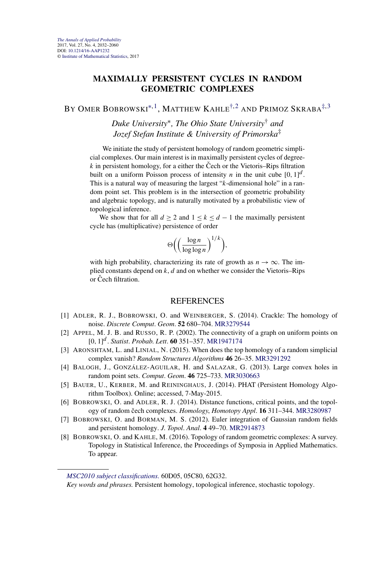# <span id="page-5-0"></span>**MAXIMALLY PERSISTENT CYCLES IN RANDOM GEOMETRIC COMPLEXES**

BY OMER BOBROWSKI<sup>\*, 1</sup>, MATTHEW KAHLE<sup>†, 2</sup> AND PRIMOZ SKRABA<sup>‡, 3</sup>

*Duke University*∗*, The Ohio State University*† *and Jozef Stefan Institute & University of Primorska*‡

We initiate the study of persistent homology of random geometric simplicial complexes. Our main interest is in maximally persistent cycles of degree $k$  in persistent homology, for a either the Čech or the Vietoris–Rips filtration built on a uniform Poisson process of intensity *n* in the unit cube  $[0, 1]^d$ . This is a natural way of measuring the largest "*k*-dimensional hole" in a random point set. This problem is in the intersection of geometric probability and algebraic topology, and is naturally motivated by a probabilistic view of topological inference.

We show that for all  $d > 2$  and  $1 \le k \le d - 1$  the maximally persistent cycle has (multiplicative) persistence of order

$$
\Theta\bigg(\bigg(\frac{\log n}{\log\log n}\bigg)^{1/k}\bigg),\,
$$

with high probability, characterizing its rate of growth as  $n \to \infty$ . The implied constants depend on *k*, *d* and on whether we consider the Vietoris–Rips or Čech filtration.

- [1] ADLER, R. J., BOBROWSKI, O. and WEINBERGER, S. (2014). Crackle: The homology of noise. *Discrete Comput*. *Geom*. **52** 680–704. [MR3279544](http://www.ams.org/mathscinet-getitem?mr=3279544)
- [2] APPEL, M. J. B. and RUSSO, R. P. (2002). The connectivity of a graph on uniform points on [0*,* 1] *<sup>d</sup>* . *Statist*. *Probab*. *Lett*. **60** 351–357. [MR1947174](http://www.ams.org/mathscinet-getitem?mr=1947174)
- [3] ARONSHTAM, L. and LINIAL, N. (2015). When does the top homology of a random simplicial complex vanish? *Random Structures Algorithms* **46** 26–35. [MR3291292](http://www.ams.org/mathscinet-getitem?mr=3291292)
- [4] BALOGH, J., GONZÁLEZ-AGUILAR, H. and SALAZAR, G. (2013). Large convex holes in random point sets. *Comput*. *Geom*. **46** 725–733. [MR3030663](http://www.ams.org/mathscinet-getitem?mr=3030663)
- [5] BAUER, U., KERBER, M. and REININGHAUS, J. (2014). PHAT (Persistent Homology Algorithm Toolbox). Online; accessed, 7-May-2015.
- [6] BOBROWSKI, O. and ADLER, R. J. (2014). Distance functions, critical points, and the topology of random čech complexes. *Homology*, *Homotopy Appl*. **16** 311–344. [MR3280987](http://www.ams.org/mathscinet-getitem?mr=3280987)
- [7] BOBROWSKI, O. and BORMAN, M. S. (2012). Euler integration of Gaussian random fields and persistent homology. *J*. *Topol*. *Anal*. **4** 49–70. [MR2914873](http://www.ams.org/mathscinet-getitem?mr=2914873)
- [8] BOBROWSKI, O. and KAHLE, M. (2016). Topology of random geometric complexes: A survey. Topology in Statistical Inference, the Proceedings of Symposia in Applied Mathematics. To appear.

*[MSC2010 subject classifications.](http://www.ams.org/mathscinet/msc/msc2010.html)* 60D05, 05C80, 62G32.

*Key words and phrases.* Persistent homology, topological inference, stochastic topology.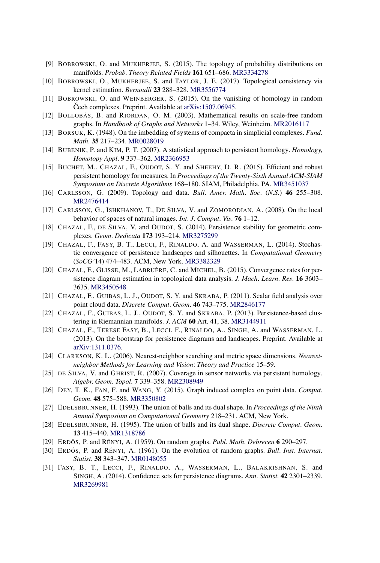- [9] BOBROWSKI, O. and MUKHERJEE, S. (2015). The topology of probability distributions on manifolds. *Probab*. *Theory Related Fields* **161** 651–686. [MR3334278](http://www.ams.org/mathscinet-getitem?mr=3334278)
- [10] BOBROWSKI, O., MUKHERJEE, S. and TAYLOR, J. E. (2017). Topological consistency via kernel estimation. *Bernoulli* **23** 288–328. [MR3556774](http://www.ams.org/mathscinet-getitem?mr=3556774)
- [11] BOBROWSKI, O. and WEINBERGER, S. (2015). On the vanishing of homology in random Čech complexes. Preprint. Available at  $arXiv:1507.06945$ .
- [12] BOLLOBÁS, B. and RIORDAN, O. M. (2003). Mathematical results on scale-free random graphs. In *Handbook of Graphs and Networks* 1–34. Wiley, Weinheim. [MR2016117](http://www.ams.org/mathscinet-getitem?mr=2016117)
- [13] BORSUK, K. (1948). On the imbedding of systems of compacta in simplicial complexes. *Fund*. *Math*. **35** 217–234. [MR0028019](http://www.ams.org/mathscinet-getitem?mr=0028019)
- [14] BUBENIK, P. and KIM, P. T. (2007). A statistical approach to persistent homology. *Homology*, *Homotopy Appl*. **9** 337–362. [MR2366953](http://www.ams.org/mathscinet-getitem?mr=2366953)
- [15] BUCHET, M., CHAZAL, F., OUDOT, S. Y. and SHEEHY, D. R. (2015). Efficient and robust persistent homology for measures. In *Proceedings of the Twenty-Sixth Annual ACM-SIAM Symposium on Discrete Algorithms* 168–180. SIAM, Philadelphia, PA. [MR3451037](http://www.ams.org/mathscinet-getitem?mr=3451037)
- [16] CARLSSON, G. (2009). Topology and data. *Bull*. *Amer*. *Math*. *Soc*. (*N*.*S*.) **46** 255–308. [MR2476414](http://www.ams.org/mathscinet-getitem?mr=2476414)
- [17] CARLSSON, G., ISHKHANOV, T., DE SILVA, V. and ZOMORODIAN, A. (2008). On the local behavior of spaces of natural images. *Int*. *J*. *Comput*. *Vis*. **76** 1–12.
- [18] CHAZAL, F., DE SILVA, V. and OUDOT, S. (2014). Persistence stability for geometric complexes. *Geom*. *Dedicata* **173** 193–214. [MR3275299](http://www.ams.org/mathscinet-getitem?mr=3275299)
- [19] CHAZAL, F., FASY, B. T., LECCI, F., RINALDO, A. and WASSERMAN, L. (2014). Stochastic convergence of persistence landscapes and silhouettes. In *Computational Geometry* (*SoCG'*14) 474–483. ACM, New York. [MR3382329](http://www.ams.org/mathscinet-getitem?mr=3382329)
- [20] CHAZAL, F., GLISSE, M., LABRUÈRE, C. and MICHEL, B. (2015). Convergence rates for persistence diagram estimation in topological data analysis. *J*. *Mach*. *Learn*. *Res*. **16** 3603– 3635. [MR3450548](http://www.ams.org/mathscinet-getitem?mr=3450548)
- [21] CHAZAL, F., GUIBAS, L. J., OUDOT, S. Y. and SKRABA, P. (2011). Scalar field analysis over point cloud data. *Discrete Comput*. *Geom*. **46** 743–775. [MR2846177](http://www.ams.org/mathscinet-getitem?mr=2846177)
- [22] CHAZAL, F., GUIBAS, L. J., OUDOT, S. Y. and SKRABA, P. (2013). Persistence-based clustering in Riemannian manifolds. *J*. *ACM* **60** Art. 41, 38. [MR3144911](http://www.ams.org/mathscinet-getitem?mr=3144911)
- [23] CHAZAL, F., TERESE FASY, B., LECCI, F., RINALDO, A., SINGH, A. and WASSERMAN, L. (2013). On the bootstrap for persistence diagrams and landscapes. Preprint. Available at [arXiv:1311.0376.](http://arxiv.org/abs/arXiv:1311.0376)
- [24] CLARKSON, K. L. (2006). Nearest-neighbor searching and metric space dimensions. *Nearestneighbor Methods for Learning and Vision*: *Theory and Practice* 15–59.
- [25] DE SILVA, V. and GHRIST, R. (2007). Coverage in sensor networks via persistent homology. *Algebr*. *Geom*. *Topol*. **7** 339–358. [MR2308949](http://www.ams.org/mathscinet-getitem?mr=2308949)
- [26] DEY, T. K., FAN, F. and WANG, Y. (2015). Graph induced complex on point data. *Comput*. *Geom*. **48** 575–588. [MR3350802](http://www.ams.org/mathscinet-getitem?mr=3350802)
- [27] EDELSBRUNNER, H. (1993). The union of balls and its dual shape. In *Proceedings of the Ninth Annual Symposium on Computational Geometry* 218–231. ACM, New York.
- [28] EDELSBRUNNER, H. (1995). The union of balls and its dual shape. *Discrete Comput*. *Geom*. **13** 415–440. [MR1318786](http://www.ams.org/mathscinet-getitem?mr=1318786)
- [29] ERDOS˝ , P. and RÉNYI, A. (1959). On random graphs. *Publ*. *Math*. *Debrecen* **6** 290–297.
- [30] ERDOS˝ , P. and RÉNYI, A. (1961). On the evolution of random graphs. *Bull*. *Inst*. *Internat*. *Statist*. **38** 343–347. [MR0148055](http://www.ams.org/mathscinet-getitem?mr=0148055)
- [31] FASY, B. T., LECCI, F., RINALDO, A., WASSERMAN, L., BALAKRISHNAN, S. and SINGH, A. (2014). Confidence sets for persistence diagrams. *Ann*. *Statist*. **42** 2301–2339. [MR3269981](http://www.ams.org/mathscinet-getitem?mr=3269981)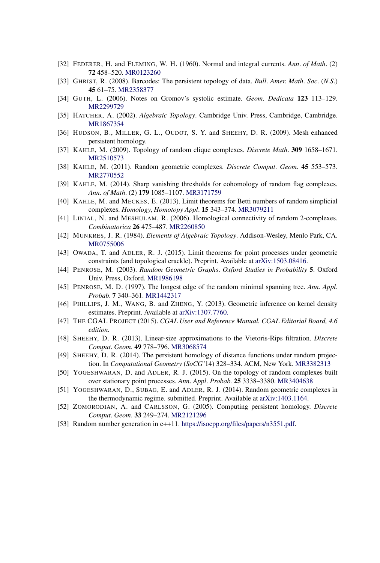- [32] FEDERER, H. and FLEMING, W. H. (1960). Normal and integral currents. *Ann*. *of Math*. (2) **72** 458–520. [MR0123260](http://www.ams.org/mathscinet-getitem?mr=0123260)
- [33] GHRIST, R. (2008). Barcodes: The persistent topology of data. *Bull*. *Amer*. *Math*. *Soc*. (*N*.*S*.) **45** 61–75. [MR2358377](http://www.ams.org/mathscinet-getitem?mr=2358377)
- [34] GUTH, L. (2006). Notes on Gromov's systolic estimate. *Geom*. *Dedicata* **123** 113–129. [MR2299729](http://www.ams.org/mathscinet-getitem?mr=2299729)
- [35] HATCHER, A. (2002). *Algebraic Topology*. Cambridge Univ. Press, Cambridge, Cambridge. [MR1867354](http://www.ams.org/mathscinet-getitem?mr=1867354)
- [36] HUDSON, B., MILLER, G. L., OUDOT, S. Y. and SHEEHY, D. R. (2009). Mesh enhanced persistent homology.
- [37] KAHLE, M. (2009). Topology of random clique complexes. *Discrete Math*. **309** 1658–1671. [MR2510573](http://www.ams.org/mathscinet-getitem?mr=2510573)
- [38] KAHLE, M. (2011). Random geometric complexes. *Discrete Comput*. *Geom*. **45** 553–573. [MR2770552](http://www.ams.org/mathscinet-getitem?mr=2770552)
- [39] KAHLE, M. (2014). Sharp vanishing thresholds for cohomology of random flag complexes. *Ann*. *of Math*. (2) **179** 1085–1107. [MR3171759](http://www.ams.org/mathscinet-getitem?mr=3171759)
- [40] KAHLE, M. and MECKES, E. (2013). Limit theorems for Betti numbers of random simplicial complexes. *Homology*, *Homotopy Appl*. **15** 343–374. [MR3079211](http://www.ams.org/mathscinet-getitem?mr=3079211)
- [41] LINIAL, N. and MESHULAM, R. (2006). Homological connectivity of random 2-complexes. *Combinatorica* **26** 475–487. [MR2260850](http://www.ams.org/mathscinet-getitem?mr=2260850)
- [42] MUNKRES, J. R. (1984). *Elements of Algebraic Topology*. Addison-Wesley, Menlo Park, CA. [MR0755006](http://www.ams.org/mathscinet-getitem?mr=0755006)
- [43] OWADA, T. and ADLER, R. J. (2015). Limit theorems for point processes under geometric constraints (and topological crackle). Preprint. Available at [arXiv:1503.08416.](http://arxiv.org/abs/arXiv:1503.08416)
- [44] PENROSE, M. (2003). *Random Geometric Graphs*. *Oxford Studies in Probability* **5**. Oxford Univ. Press, Oxford. [MR1986198](http://www.ams.org/mathscinet-getitem?mr=1986198)
- [45] PENROSE, M. D. (1997). The longest edge of the random minimal spanning tree. *Ann*. *Appl*. *Probab*. **7** 340–361. [MR1442317](http://www.ams.org/mathscinet-getitem?mr=1442317)
- [46] PHILLIPS, J. M., WANG, B. and ZHENG, Y. (2013). Geometric inference on kernel density estimates. Preprint. Available at [arXiv:1307.7760.](http://arxiv.org/abs/arXiv:1307.7760.)
- [47] THE CGAL PROJECT (2015). *CGAL User and Reference Manual. CGAL Editorial Board, 4.6 edition.*
- [48] SHEEHY, D. R. (2013). Linear-size approximations to the Vietoris-Rips filtration. *Discrete Comput*. *Geom*. **49** 778–796. [MR3068574](http://www.ams.org/mathscinet-getitem?mr=3068574)
- [49] SHEEHY, D. R. (2014). The persistent homology of distance functions under random projection. In *Computational Geometry* (*SoCG'*14) 328–334. ACM, New York. [MR3382313](http://www.ams.org/mathscinet-getitem?mr=3382313)
- [50] YOGESHWARAN, D. and ADLER, R. J. (2015). On the topology of random complexes built over stationary point processes. *Ann*. *Appl*. *Probab*. **25** 3338–3380. [MR3404638](http://www.ams.org/mathscinet-getitem?mr=3404638)
- [51] YOGESHWARAN, D., SUBAG, E. and ADLER, R. J. (2014). Random geometric complexes in the thermodynamic regime. submitted. Preprint. Available at [arXiv:1403.1164](http://arxiv.org/abs/arXiv:1403.1164).
- [52] ZOMORODIAN, A. and CARLSSON, G. (2005). Computing persistent homology. *Discrete Comput*. *Geom*. **33** 249–274. [MR2121296](http://www.ams.org/mathscinet-getitem?mr=2121296)
- [53] Random number generation in c++11. <https://isocpp.org/files/papers/n3551.pdf>.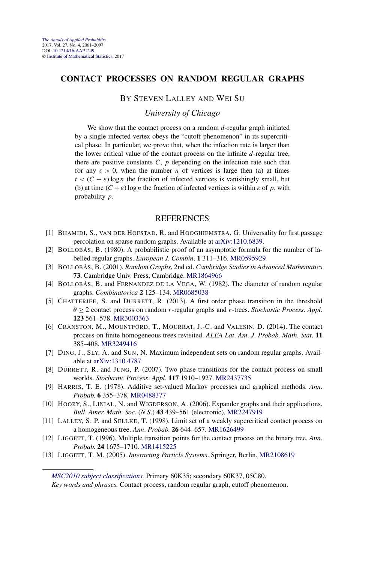## **CONTACT PROCESSES ON RANDOM REGULAR GRAPHS**

#### BY STEVEN LALLEY AND WEI SU

#### *University of Chicago*

We show that the contact process on a random *d*-regular graph initiated by a single infected vertex obeys the "cutoff phenomenon" in its supercritical phase. In particular, we prove that, when the infection rate is larger than the lower critical value of the contact process on the infinite *d*-regular tree, there are positive constants  $C$ ,  $p$  depending on the infection rate such that for any  $\varepsilon > 0$ , when the number *n* of vertices is large then (a) at times  $t < (C - \varepsilon) \log n$  the fraction of infected vertices is vanishingly small, but (b) at time  $(C + \varepsilon) \log n$  the fraction of infected vertices is within  $\varepsilon$  of p, with probability *p*.

#### REFERENCES

- [1] BHAMIDI, S., VAN DER HOFSTAD, R. and HOOGHIEMSTRA, G. Universality for first passage percolation on sparse random graphs. Available at [arXiv:1210.6839](http://arxiv.org/abs/arXiv:1210.6839).
- [2] BOLLOBÁS, B. (1980). A probabilistic proof of an asymptotic formula for the number of labelled regular graphs. *European J*. *Combin*. **1** 311–316. [MR0595929](http://www.ams.org/mathscinet-getitem?mr=0595929)
- [3] BOLLOBÁS, B. (2001). *Random Graphs*, 2nd ed. *Cambridge Studies in Advanced Mathematics* **73**. Cambridge Univ. Press, Cambridge. [MR1864966](http://www.ams.org/mathscinet-getitem?mr=1864966)
- [4] BOLLOBÁS, B. and FERNANDEZ DE LA VEGA, W. (1982). The diameter of random regular graphs. *Combinatorica* **2** 125–134. [MR0685038](http://www.ams.org/mathscinet-getitem?mr=0685038)
- [5] CHATTERJEE, S. and DURRETT, R. (2013). A first order phase transition in the threshold *θ* ≥ 2 contact process on random *r*-regular graphs and *r*-trees. *Stochastic Process*. *Appl*. **123** 561–578. [MR3003363](http://www.ams.org/mathscinet-getitem?mr=3003363)
- [6] CRANSTON, M., MOUNTFORD, T., MOURRAT, J.-C. and VALESIN, D. (2014). The contact process on finite homogeneous trees revisited. *ALEA Lat*. *Am*. *J*. *Probab*. *Math*. *Stat*. **11** 385–408. [MR3249416](http://www.ams.org/mathscinet-getitem?mr=3249416)
- [7] DING, J., SLY, A. and SUN, N. Maximum independent sets on random regular graphs. Available at [arXiv:1310.4787.](http://arxiv.org/abs/arXiv:1310.4787)
- [8] DURRETT, R. and JUNG, P. (2007). Two phase transitions for the contact process on small worlds. *Stochastic Process*. *Appl*. **117** 1910–1927. [MR2437735](http://www.ams.org/mathscinet-getitem?mr=2437735)
- [9] HARRIS, T. E. (1978). Additive set-valued Markov processes and graphical methods. *Ann*. *Probab*. **6** 355–378. [MR0488377](http://www.ams.org/mathscinet-getitem?mr=0488377)
- [10] HOORY, S., LINIAL, N. and WIGDERSON, A. (2006). Expander graphs and their applications. *Bull*. *Amer*. *Math*. *Soc*. (*N*.*S*.) **43** 439–561 (electronic). [MR2247919](http://www.ams.org/mathscinet-getitem?mr=2247919)
- [11] LALLEY, S. P. and SELLKE, T. (1998). Limit set of a weakly supercritical contact process on a homogeneous tree. *Ann*. *Probab*. **26** 644–657. [MR1626499](http://www.ams.org/mathscinet-getitem?mr=1626499)
- [12] LIGGETT, T. (1996). Multiple transition points for the contact process on the binary tree. *Ann*. *Probab*. **24** 1675–1710. [MR1415225](http://www.ams.org/mathscinet-getitem?mr=1415225)
- [13] LIGGETT, T. M. (2005). *Interacting Particle Systems*. Springer, Berlin. [MR2108619](http://www.ams.org/mathscinet-getitem?mr=2108619)

*[MSC2010 subject classifications.](http://www.ams.org/mathscinet/msc/msc2010.html)* Primary 60K35; secondary 60K37, 05C80. *Key words and phrases.* Contact process, random regular graph, cutoff phenomenon.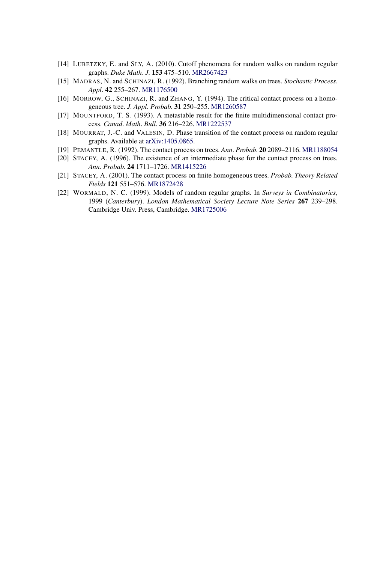- [14] LUBETZKY, E. and SLY, A. (2010). Cutoff phenomena for random walks on random regular graphs. *Duke Math*. *J*. **153** 475–510. [MR2667423](http://www.ams.org/mathscinet-getitem?mr=2667423)
- [15] MADRAS, N. and SCHINAZI, R. (1992). Branching random walks on trees. *Stochastic Process*. *Appl*. **42** 255–267. [MR1176500](http://www.ams.org/mathscinet-getitem?mr=1176500)
- [16] MORROW, G., SCHINAZI, R. and ZHANG, Y. (1994). The critical contact process on a homogeneous tree. *J*. *Appl*. *Probab*. **31** 250–255. [MR1260587](http://www.ams.org/mathscinet-getitem?mr=1260587)
- [17] MOUNTFORD, T. S. (1993). A metastable result for the finite multidimensional contact process. *Canad*. *Math*. *Bull*. **36** 216–226. [MR1222537](http://www.ams.org/mathscinet-getitem?mr=1222537)
- [18] MOURRAT, J.-C. and VALESIN, D. Phase transition of the contact process on random regular graphs. Available at [arXiv:1405.0865](http://arxiv.org/abs/arXiv:1405.0865).
- [19] PEMANTLE, R. (1992). The contact process on trees. *Ann*. *Probab*. **20** 2089–2116. [MR1188054](http://www.ams.org/mathscinet-getitem?mr=1188054)
- [20] STACEY, A. (1996). The existence of an intermediate phase for the contact process on trees. *Ann*. *Probab*. **24** 1711–1726. [MR1415226](http://www.ams.org/mathscinet-getitem?mr=1415226)
- [21] STACEY, A. (2001). The contact process on finite homogeneous trees. *Probab*. *Theory Related Fields* **121** 551–576. [MR1872428](http://www.ams.org/mathscinet-getitem?mr=1872428)
- [22] WORMALD, N. C. (1999). Models of random regular graphs. In *Surveys in Combinatorics*, 1999 (*Canterbury*). *London Mathematical Society Lecture Note Series* **267** 239–298. Cambridge Univ. Press, Cambridge. [MR1725006](http://www.ams.org/mathscinet-getitem?mr=1725006)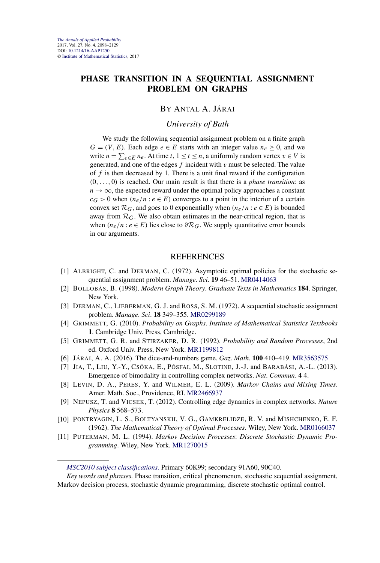# **PHASE TRANSITION IN A SEQUENTIAL ASSIGNMENT PROBLEM ON GRAPHS**

#### BY ANTAL A. JÁRAI

#### *University of Bath*

We study the following sequential assignment problem on a finite graph  $G = (V, E)$ . Each edge  $e \in E$  starts with an integer value  $n_e \ge 0$ , and we write  $n = \sum_{e \in E} n_e$ . At time  $t, 1 \le t \le n$ , a uniformly random vertex  $v \in V$  is generated, and one of the edges *f* incident with *v* must be selected. The value of  $f$  is then decreased by 1. There is a unit final reward if the configuration *(*0*,...,* 0*)* is reached. Our main result is that there is a *phase transition*: as  $n \to \infty$ , the expected reward under the optimal policy approaches a constant  $c_G$  > 0 when  $(n_e/n : e \in E)$  converges to a point in the interior of a certain convex set  $\mathcal{R}_G$ , and goes to 0 exponentially when  $(n_e/n : e \in E)$  is bounded away from  $\mathcal{R}_G$ . We also obtain estimates in the near-critical region, that is when  $(n_e/n : e \in E)$  lies close to  $\partial \mathcal{R}_G$ . We supply quantitative error bounds in our arguments.

- [1] ALBRIGHT, C. and DERMAN, C. (1972). Asymptotic optimal policies for the stochastic sequential assignment problem. *Manage*. *Sci*. **19** 46–51. [MR0414063](http://www.ams.org/mathscinet-getitem?mr=0414063)
- [2] BOLLOBÁS, B. (1998). *Modern Graph Theory*. *Graduate Texts in Mathematics* **184**. Springer, New York.
- [3] DERMAN, C., LIEBERMAN, G. J. and ROSS, S. M. (1972). A sequential stochastic assignment problem. *Manage*. *Sci*. **18** 349–355. [MR0299189](http://www.ams.org/mathscinet-getitem?mr=0299189)
- [4] GRIMMETT, G. (2010). *Probability on Graphs*. *Institute of Mathematical Statistics Textbooks* **1**. Cambridge Univ. Press, Cambridge.
- [5] GRIMMETT, G. R. and STIRZAKER, D. R. (1992). *Probability and Random Processes*, 2nd ed. Oxford Univ. Press, New York. [MR1199812](http://www.ams.org/mathscinet-getitem?mr=1199812)
- [6] JÁRAI, A. A. (2016). The dice-and-numbers game. *Gaz*. *Math*. **100** 410–419. [MR3563575](http://www.ams.org/mathscinet-getitem?mr=3563575)
- [7] JIA, T., LIU, Y.-Y., CSÓKA, E., PÓSFAI, M., SLOTINE, J.-J. and BARABÁSI, A.-L. (2013). Emergence of bimodality in controlling complex networks. *Nat*. *Commun*. **4** 4.
- [8] LEVIN, D. A., PERES, Y. and WILMER, E. L. (2009). *Markov Chains and Mixing Times*. Amer. Math. Soc., Providence, RI. [MR2466937](http://www.ams.org/mathscinet-getitem?mr=2466937)
- [9] NEPUSZ, T. and VICSEK, T. (2012). Controlling edge dynamics in complex networks. *Nature Physics* **8** 568–573.
- [10] PONTRYAGIN, L. S., BOLTYANSKII, V. G., GAMKRELIDZE, R. V. and MISHCHENKO, E. F. (1962). *The Mathematical Theory of Optimal Processes*. Wiley, New York. [MR0166037](http://www.ams.org/mathscinet-getitem?mr=0166037)
- [11] PUTERMAN, M. L. (1994). *Markov Decision Processes*: *Discrete Stochastic Dynamic Programming*. Wiley, New York. [MR1270015](http://www.ams.org/mathscinet-getitem?mr=1270015)

*[MSC2010 subject classifications.](http://www.ams.org/mathscinet/msc/msc2010.html)* Primary 60K99; secondary 91A60, 90C40.

*Key words and phrases.* Phase transition, critical phenomenon, stochastic sequential assignment, Markov decision process, stochastic dynamic programming, discrete stochastic optimal control.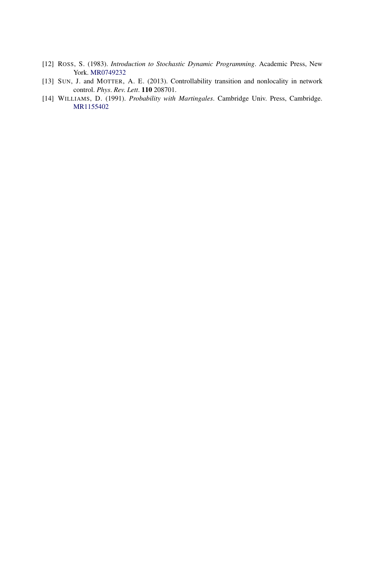- [12] ROSS, S. (1983). *Introduction to Stochastic Dynamic Programming*. Academic Press, New York. [MR0749232](http://www.ams.org/mathscinet-getitem?mr=0749232)
- [13] SUN, J. and MOTTER, A. E. (2013). Controllability transition and nonlocality in network control. *Phys*. *Rev*. *Lett*. **110** 208701.
- [14] WILLIAMS, D. (1991). *Probability with Martingales*. Cambridge Univ. Press, Cambridge. [MR1155402](http://www.ams.org/mathscinet-getitem?mr=1155402)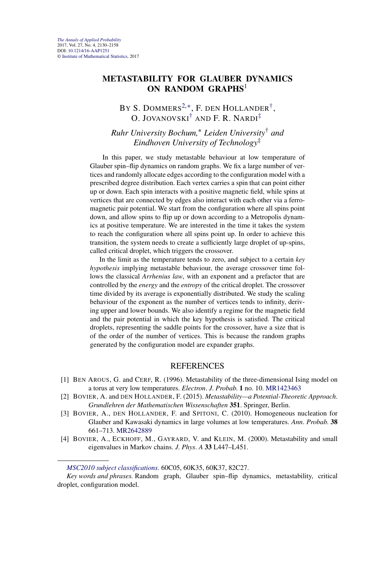# <span id="page-12-0"></span>**METASTABILITY FOR GLAUBER DYNAMICS ON RANDOM GRAPHS**<sup>1</sup>

# BY S. DOMMERS<sup>2,\*</sup>, F. den Hollander<sup>†</sup>, O. JOVANOVSKI[†](#page-1-0) AND F. R. NARDI‡

*Ruhr University Bochum,*<sup>∗</sup> *Leiden University*† *and Eindhoven University of Technology*‡

In this paper, we study metastable behaviour at low temperature of Glauber spin–flip dynamics on random graphs. We fix a large number of vertices and randomly allocate edges according to the configuration model with a prescribed degree distribution. Each vertex carries a spin that can point either up or down. Each spin interacts with a positive magnetic field, while spins at vertices that are connected by edges also interact with each other via a ferromagnetic pair potential. We start from the configuration where all spins point down, and allow spins to flip up or down according to a Metropolis dynamics at positive temperature. We are interested in the time it takes the system to reach the configuration where all spins point up. In order to achieve this transition, the system needs to create a sufficiently large droplet of up-spins, called critical droplet, which triggers the crossover.

In the limit as the temperature tends to zero, and subject to a certain *key hypothesis* implying metastable behaviour, the average crossover time follows the classical *Arrhenius law*, with an exponent and a prefactor that are controlled by the *energy* and the *entropy* of the critical droplet. The crossover time divided by its average is exponentially distributed. We study the scaling behaviour of the exponent as the number of vertices tends to infinity, deriving upper and lower bounds. We also identify a regime for the magnetic field and the pair potential in which the key hypothesis is satisfied. The critical droplets, representing the saddle points for the crossover, have a size that is of the order of the number of vertices. This is because the random graphs generated by the configuration model are expander graphs.

- [1] BEN AROUS, G. and CERF, R. (1996). Metastability of the three-dimensional Ising model on a torus at very low temperatures. *Electron*. *J*. *Probab*. **1** no. 10. [MR1423463](http://www.ams.org/mathscinet-getitem?mr=1423463)
- [2] BOVIER, A. and DEN HOLLANDER, F. (2015). *Metastability—a Potential-Theoretic Approach*. *Grundlehren der Mathematischen Wissenschaften* **351**. Springer, Berlin.
- [3] BOVIER, A., DEN HOLLANDER, F. and SPITONI, C. (2010). Homogeneous nucleation for Glauber and Kawasaki dynamics in large volumes at low temperatures. *Ann*. *Probab*. **38** 661–713. [MR2642889](http://www.ams.org/mathscinet-getitem?mr=2642889)
- [4] BOVIER, A., ECKHOFF, M., GAYRARD, V. and KLEIN, M. (2000). Metastability and small eigenvalues in Markov chains. *J*. *Phys*. *A* **33** L447–L451.

*[MSC2010 subject classifications.](http://www.ams.org/mathscinet/msc/msc2010.html)* 60C05, 60K35, 60K37, 82C27.

*Key words and phrases.* Random graph, Glauber spin–flip dynamics, metastability, critical droplet, configuration model.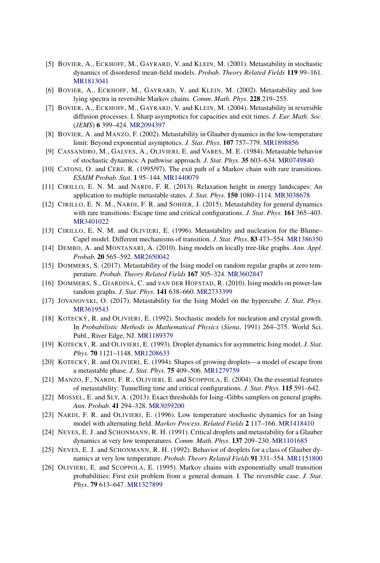- [5] BOVIER, A., ECKHOFF, M., GAYRARD, V. and KLEIN, M. (2001). Metastability in stochastic dynamics of disordered mean-field models. *Probab*. *Theory Related Fields* **119** 99–161. [MR1813041](http://www.ams.org/mathscinet-getitem?mr=1813041)
- [6] BOVIER, A., ECKHOFF, M., GAYRARD, V. and KLEIN, M. (2002). Metastability and low lying spectra in reversible Markov chains. *Comm*. *Math*. *Phys*. **228** 219–255.
- [7] BOVIER, A., ECKHOFF, M., GAYRARD, V. and KLEIN, M. (2004). Metastability in reversible diffusion processes. I. Sharp asymptotics for capacities and exit times. *J*. *Eur*. *Math*. *Soc*. (*JEMS*) **6** 399–424. [MR2094397](http://www.ams.org/mathscinet-getitem?mr=2094397)
- [8] BOVIER, A. and MANZO, F. (2002). Metastability in Glauber dynamics in the low-temperature limit: Beyond exponential asymptotics. *J*. *Stat*. *Phys*. **107** 757–779. [MR1898856](http://www.ams.org/mathscinet-getitem?mr=1898856)
- [9] CASSANDRO, M., GALVES, A., OLIVIERI, E. and VARES, M. E. (1984). Metastable behavior of stochastic dynamics: A pathwise approach. *J*. *Stat*. *Phys*. **35** 603–634. [MR0749840](http://www.ams.org/mathscinet-getitem?mr=0749840)
- [10] CATONI, O. and CERF, R. (1995/97). The exit path of a Markov chain with rare transitions. *ESAIM Probab*. *Stat*. **1** 95–144. [MR1440079](http://www.ams.org/mathscinet-getitem?mr=1440079)
- [11] CIRILLO, E. N. M. and NARDI, F. R. (2013). Relaxation height in energy landscapes: An application to multiple metastable states. *J*. *Stat*. *Phys*. **150** 1080–1114. [MR3038678](http://www.ams.org/mathscinet-getitem?mr=3038678)
- [12] CIRILLO, E. N. M., NARDI, F. R. and SOHIER, J. (2015). Metastability for general dynamics with rare transitions: Escape time and critical configurations. *J*. *Stat*. *Phys*. **161** 365–403. [MR3401022](http://www.ams.org/mathscinet-getitem?mr=3401022)
- [13] CIRILLO, E. N. M. and OLIVIERI, E. (1996). Metastability and nucleation for the Blume– Capel model. Different mechanisms of transition. *J*. *Stat*. *Phys*. **83** 473–554. [MR1386350](http://www.ams.org/mathscinet-getitem?mr=1386350)
- [14] DEMBO, A. and MONTANARI, A. (2010). Ising models on locally tree-like graphs. *Ann*. *Appl*. *Probab*. **20** 565–592. [MR2650042](http://www.ams.org/mathscinet-getitem?mr=2650042)
- [15] DOMMERS, S. (2017). Metastability of the Ising model on random regular graphs at zero temperature. *Probab*. *Theory Related Fields* **167** 305–324. [MR3602847](http://www.ams.org/mathscinet-getitem?mr=3602847)
- [16] DOMMERS, S., GIARDINÀ, C. and VAN DER HOFSTAD, R. (2010). Ising models on power-law random graphs. *J*. *Stat*. *Phys*. **141** 638–660. [MR2733399](http://www.ams.org/mathscinet-getitem?mr=2733399)
- [17] JOVANOVSKI, O. (2017). Metastability for the Ising Model on the hypercube. *J*. *Stat*. *Phys*. [MR3619543](http://www.ams.org/mathscinet-getitem?mr=3619543)
- [18] KOTECKÝ, R. and OLIVIERI, E. (1992). Stochastic models for nucleation and crystal growth. In *Probabilistic Methods in Mathematical Physics* (*Siena*, 1991) 264–275. World Sci. Publ., River Edge, NJ. [MR1189379](http://www.ams.org/mathscinet-getitem?mr=1189379)
- [19] KOTECKÝ, R. and OLIVIERI, E. (1993). Droplet dynamics for asymmetric Ising model. *J*. *Stat*. *Phys*. **70** 1121–1148. [MR1208633](http://www.ams.org/mathscinet-getitem?mr=1208633)
- [20] KOTECKÝ, R. and OLIVIERI, E. (1994). Shapes of growing droplets—a model of escape from a metastable phase. *J*. *Stat*. *Phys*. **75** 409–506. [MR1279759](http://www.ams.org/mathscinet-getitem?mr=1279759)
- [21] MANZO, F., NARDI, F. R., OLIVIERI, E. and SCOPPOLA, E. (2004). On the essential features of metastability: Tunnelling time and critical configurations. *J*. *Stat*. *Phys*. **115** 591–642.
- [22] MOSSEL, E. and SLY, A. (2013). Exact thresholds for Ising–Gibbs samplers on general graphs. *Ann*. *Probab*. **41** 294–328. [MR3059200](http://www.ams.org/mathscinet-getitem?mr=3059200)
- [23] NARDI, F. R. and OLIVIERI, E. (1996). Low temperature stochastic dynamics for an Ising model with alternating field. *Markov Process*. *Related Fields* **2** 117–166. [MR1418410](http://www.ams.org/mathscinet-getitem?mr=1418410)
- [24] NEVES, E. J. and SCHONMANN, R. H. (1991). Critical droplets and metastability for a Glauber dynamics at very low temperatures. *Comm*. *Math*. *Phys*. **137** 209–230. [MR1101685](http://www.ams.org/mathscinet-getitem?mr=1101685)
- [25] NEVES, E. J. and SCHONMANN, R. H. (1992). Behavior of droplets for a class of Glauber dynamics at very low temperature. *Probab*. *Theory Related Fields* **91** 331–354. [MR1151800](http://www.ams.org/mathscinet-getitem?mr=1151800)
- [26] OLIVIERI, E. and SCOPPOLA, E. (1995). Markov chains with exponentially small transition probabilities: First exit problem from a general domain. I. The reversible case. *J*. *Stat*. *Phys*. **79** 613–647. [MR1327899](http://www.ams.org/mathscinet-getitem?mr=1327899)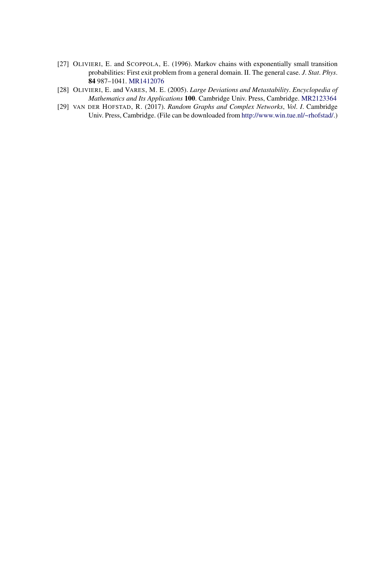- [27] OLIVIERI, E. and SCOPPOLA, E. (1996). Markov chains with exponentially small transition probabilities: First exit problem from a general domain. II. The general case. *J*. *Stat*. *Phys*. **84** 987–1041. [MR1412076](http://www.ams.org/mathscinet-getitem?mr=1412076)
- [28] OLIVIERI, E. and VARES, M. E. (2005). *Large Deviations and Metastability*. *Encyclopedia of Mathematics and Its Applications* **100**. Cambridge Univ. Press, Cambridge. [MR2123364](http://www.ams.org/mathscinet-getitem?mr=2123364)
- [29] VAN DER HOFSTAD, R. (2017). *Random Graphs and Complex Networks*, *Vol*. *I*. Cambridge Univ. Press, Cambridge. (File can be downloaded from [http://www.win.tue.nl/~rhofstad/.](http://www.win.tue.nl/~rhofstad/))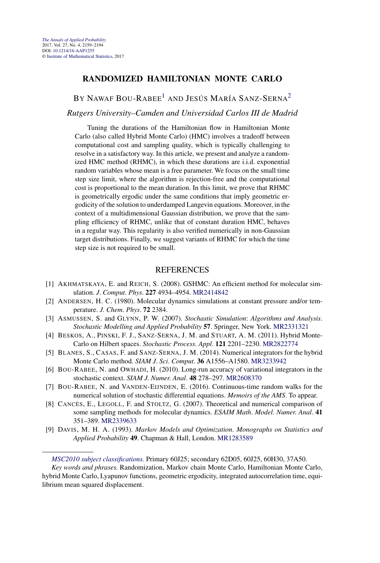# **RANDOMIZED HAMILTONIAN MONTE CARLO**

BY NAWAF BOU-RABEE<sup>1</sup> AND JESÚS MARÍA SANZ-SERNA<sup>2</sup>

*Rutgers University–Camden and Universidad Carlos III de Madrid*

Tuning the durations of the Hamiltonian flow in Hamiltonian Monte Carlo (also called Hybrid Monte Carlo) (HMC) involves a tradeoff between computational cost and sampling quality, which is typically challenging to resolve in a satisfactory way. In this article, we present and analyze a randomized HMC method (RHMC), in which these durations are i.i.d. exponential random variables whose mean is a free parameter. We focus on the small time step size limit, where the algorithm is rejection-free and the computational cost is proportional to the mean duration. In this limit, we prove that RHMC is geometrically ergodic under the same conditions that imply geometric ergodicity of the solution to underdamped Langevin equations. Moreover, in the context of a multidimensional Gaussian distribution, we prove that the sampling efficiency of RHMC, unlike that of constant duration HMC, behaves in a regular way. This regularity is also verified numerically in non-Gaussian target distributions. Finally, we suggest variants of RHMC for which the time step size is not required to be small.

- [1] AKHMATSKAYA, E. and REICH, S. (2008). GSHMC: An efficient method for molecular simulation. *J*. *Comput*. *Phys*. **227** 4934–4954. [MR2414842](http://www.ams.org/mathscinet-getitem?mr=2414842)
- [2] ANDERSEN, H. C. (1980). Molecular dynamics simulations at constant pressure and/or temperature. *J*. *Chem*. *Phys*. **72** 2384.
- [3] ASMUSSEN, S. and GLYNN, P. W. (2007). *Stochastic Simulation*: *Algorithms and Analysis*. *Stochastic Modelling and Applied Probability* **57**. Springer, New York. [MR2331321](http://www.ams.org/mathscinet-getitem?mr=2331321)
- [4] BESKOS, A., PINSKI, F. J., SANZ-SERNA, J. M. and STUART, A. M. (2011). Hybrid Monte-Carlo on Hilbert spaces. *Stochastic Process*. *Appl*. **121** 2201–2230. [MR2822774](http://www.ams.org/mathscinet-getitem?mr=2822774)
- [5] BLANES, S., CASAS, F. and SANZ-SERNA, J. M. (2014). Numerical integrators for the hybrid Monte Carlo method. *SIAM J*. *Sci*. *Comput*. **36** A1556–A1580. [MR3233942](http://www.ams.org/mathscinet-getitem?mr=3233942)
- [6] BOU-RABEE, N. and OWHADI, H. (2010). Long-run accuracy of variational integrators in the stochastic context. *SIAM J*. *Numer*. *Anal*. **48** 278–297. [MR2608370](http://www.ams.org/mathscinet-getitem?mr=2608370)
- [7] BOU-RABEE, N. and VANDEN-EIJNDEN, E. (2016). Continuous-time random walks for the numerical solution of stochastic differential equations. *Memoirs of the AMS*. To appear.
- [8] CANCÈS, E., LEGOLL, F. and STOLTZ, G. (2007). Theoretical and numerical comparison of some sampling methods for molecular dynamics. *ESAIM Math*. *Model*. *Numer*. *Anal*. **41** 351–389. [MR2339633](http://www.ams.org/mathscinet-getitem?mr=2339633)
- [9] DAVIS, M. H. A. (1993). *Markov Models and Optimization*. *Monographs on Statistics and Applied Probability* **49**. Chapman & Hall, London. [MR1283589](http://www.ams.org/mathscinet-getitem?mr=1283589)

*[MSC2010 subject classifications.](http://www.ams.org/mathscinet/msc/msc2010.html)* Primary 60J25; secondary 62D05, 60J25, 60H30, 37A50.

*Key words and phrases.* Randomization, Markov chain Monte Carlo, Hamiltonian Monte Carlo, hybrid Monte Carlo, Lyapunov functions, geometric ergodicity, integrated autocorrelation time, equilibrium mean squared displacement.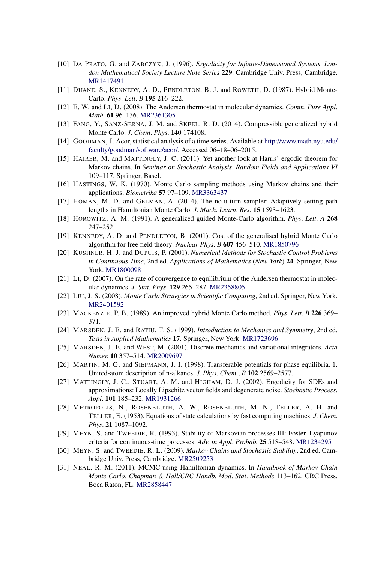- [10] DA PRATO, G. and ZABCZYK, J. (1996). *Ergodicity for Infinite-Dimensional Systems*. *London Mathematical Society Lecture Note Series* **229**. Cambridge Univ. Press, Cambridge. [MR1417491](http://www.ams.org/mathscinet-getitem?mr=1417491)
- [11] DUANE, S., KENNEDY, A. D., PENDLETON, B. J. and ROWETH, D. (1987). Hybrid Monte-Carlo. *Phys*. *Lett*. *B* **195** 216–222.
- [12] E, W. and LI, D. (2008). The Andersen thermostat in molecular dynamics. *Comm*. *Pure Appl*. *Math*. **61** 96–136. [MR2361305](http://www.ams.org/mathscinet-getitem?mr=2361305)
- [13] FANG, Y., SANZ-SERNA, J. M. and SKEEL, R. D. (2014). Compressible generalized hybrid Monte Carlo. *J*. *Chem*. *Phys*. **140** 174108.
- [14] GOODMAN, J. Acor, statistical analysis of a time series. Available at [http://www.math.nyu.edu/](http://www.math.nyu.edu/faculty/goodman/software/acor/) [faculty/goodman/software/acor/.](http://www.math.nyu.edu/faculty/goodman/software/acor/) Accessed 06–18–06–2015.
- [15] HAIRER, M. and MATTINGLY, J. C. (2011). Yet another look at Harris' ergodic theorem for Markov chains. In *Seminar on Stochastic Analysis*, *Random Fields and Applications VI* 109–117. Springer, Basel.
- [16] HASTINGS, W. K. (1970). Monte Carlo sampling methods using Markov chains and their applications. *Biometrika* **57** 97–109. [MR3363437](http://www.ams.org/mathscinet-getitem?mr=3363437)
- [17] HOMAN, M. D. and GELMAN, A. (2014). The no-u-turn sampler: Adaptively setting path lengths in Hamiltonian Monte Carlo. *J*. *Mach*. *Learn*. *Res*. **15** 1593–1623.
- [18] HOROWITZ, A. M. (1991). A generalized guided Monte-Carlo algorithm. *Phys*. *Lett*. *A* **268** 247–252.
- [19] KENNEDY, A. D. and PENDLETON, B. (2001). Cost of the generalised hybrid Monte Carlo algorithm for free field theory. *Nuclear Phys*. *B* **607** 456–510. [MR1850796](http://www.ams.org/mathscinet-getitem?mr=1850796)
- [20] KUSHNER, H. J. and DUPUIS, P. (2001). *Numerical Methods for Stochastic Control Problems in Continuous Time*, 2nd ed. *Applications of Mathematics* (*New York*) **24**. Springer, New York. [MR1800098](http://www.ams.org/mathscinet-getitem?mr=1800098)
- [21] LI, D. (2007). On the rate of convergence to equilibrium of the Andersen thermostat in molecular dynamics. *J*. *Stat*. *Phys*. **129** 265–287. [MR2358805](http://www.ams.org/mathscinet-getitem?mr=2358805)
- [22] LIU, J. S. (2008). *Monte Carlo Strategies in Scientific Computing*, 2nd ed. Springer, New York. [MR2401592](http://www.ams.org/mathscinet-getitem?mr=2401592)
- [23] MACKENZIE, P. B. (1989). An improved hybrid Monte Carlo method. *Phys*. *Lett*. *B* **226** 369– 371.
- [24] MARSDEN, J. E. and RATIU, T. S. (1999). *Introduction to Mechanics and Symmetry*, 2nd ed. *Texts in Applied Mathematics* **17**. Springer, New York. [MR1723696](http://www.ams.org/mathscinet-getitem?mr=1723696)
- [25] MARSDEN, J. E. and WEST, M. (2001). Discrete mechanics and variational integrators. *Acta Numer*. **10** 357–514. [MR2009697](http://www.ams.org/mathscinet-getitem?mr=2009697)
- [26] MARTIN, M. G. and SIEPMANN, J. I. (1998). Transferable potentials for phase equilibria. 1. United-atom description of n-alkanes. *J*. *Phys*. *Chem*., *B* **102** 2569–2577.
- [27] MATTINGLY, J. C., STUART, A. M. and HIGHAM, D. J. (2002). Ergodicity for SDEs and approximations: Locally Lipschitz vector fields and degenerate noise. *Stochastic Process*. *Appl*. **101** 185–232. [MR1931266](http://www.ams.org/mathscinet-getitem?mr=1931266)
- [28] METROPOLIS, N., ROSENBLUTH, A. W., ROSENBLUTH, M. N., TELLER, A. H. and TELLER, E. (1953). Equations of state calculations by fast computing machines. *J*. *Chem*. *Phys*. **21** 1087–1092.
- [29] MEYN, S. and TWEEDIE, R. (1993). Stability of Markovian processes III: Foster–Lyapunov criteria for continuous-time processes. *Adv*. *in Appl*. *Probab*. **25** 518–548. [MR1234295](http://www.ams.org/mathscinet-getitem?mr=1234295)
- [30] MEYN, S. and TWEEDIE, R. L. (2009). *Markov Chains and Stochastic Stability*, 2nd ed. Cambridge Univ. Press, Cambridge. [MR2509253](http://www.ams.org/mathscinet-getitem?mr=2509253)
- [31] NEAL, R. M. (2011). MCMC using Hamiltonian dynamics. In *Handbook of Markov Chain Monte Carlo*. *Chapman & Hall/CRC Handb*. *Mod*. *Stat*. *Methods* 113–162. CRC Press, Boca Raton, FL. [MR2858447](http://www.ams.org/mathscinet-getitem?mr=2858447)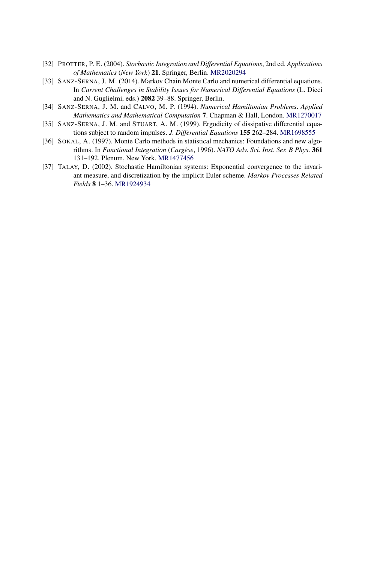- [32] PROTTER, P. E. (2004). *Stochastic Integration and Differential Equations*, 2nd ed. *Applications of Mathematics* (*New York*) **21**. Springer, Berlin. [MR2020294](http://www.ams.org/mathscinet-getitem?mr=2020294)
- [33] SANZ-SERNA, J. M. (2014). Markov Chain Monte Carlo and numerical differential equations. In *Current Challenges in Stability Issues for Numerical Differential Equations* (L. Dieci and N. Guglielmi, eds.) **2082** 39–88. Springer, Berlin.
- [34] SANZ-SERNA, J. M. and CALVO, M. P. (1994). *Numerical Hamiltonian Problems*. *Applied Mathematics and Mathematical Computation* **7**. Chapman & Hall, London. [MR1270017](http://www.ams.org/mathscinet-getitem?mr=1270017)
- [35] SANZ-SERNA, J. M. and STUART, A. M. (1999). Ergodicity of dissipative differential equations subject to random impulses. *J*. *Differential Equations* **155** 262–284. [MR1698555](http://www.ams.org/mathscinet-getitem?mr=1698555)
- [36] SOKAL, A. (1997). Monte Carlo methods in statistical mechanics: Foundations and new algorithms. In *Functional Integration* (*Cargèse*, 1996). *NATO Adv*. *Sci*. *Inst*. *Ser*. *B Phys*. **361** 131–192. Plenum, New York. [MR1477456](http://www.ams.org/mathscinet-getitem?mr=1477456)
- [37] TALAY, D. (2002). Stochastic Hamiltonian systems: Exponential convergence to the invariant measure, and discretization by the implicit Euler scheme. *Markov Processes Related Fields* **8** 1–36. [MR1924934](http://www.ams.org/mathscinet-getitem?mr=1924934)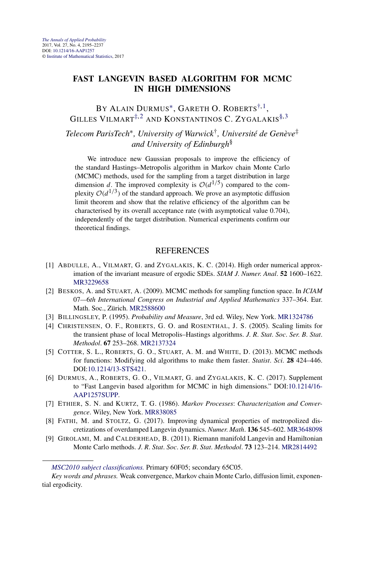# **FAST LANGEVIN BASED ALGORITHM FOR MCMC IN HIGH DIMENSIONS**

BY ALAIN DURMUS<sup>\*</sup>, GARETH O. ROBERTS<sup>[†,](#page-1-0)1</sup>, GILLES VILMART<sup>[‡,](#page-12-0) 2</sup> AND KONSTANTINOS C. ZYGALAKIS<sup>§, 3</sup>

*Telecom ParisTech*∗*, University of Warwick*†*, Université de Genève*‡ *and University of Edinburgh*§

We introduce new Gaussian proposals to improve the efficiency of the standard Hastings–Metropolis algorithm in Markov chain Monte Carlo (MCMC) methods, used for the sampling from a target distribution in large dimension *d*. The improved complexity is  $O(d^{1/5})$  compared to the complexity  $O(d^{1/3})$  of the standard approach. We prove an asymptotic diffusion limit theorem and show that the relative efficiency of the algorithm can be characterised by its overall acceptance rate (with asymptotical value 0.704), independently of the target distribution. Numerical experiments confirm our theoretical findings.

- [1] ABDULLE, A., VILMART, G. and ZYGALAKIS, K. C. (2014). High order numerical approximation of the invariant measure of ergodic SDEs. *SIAM J*. *Numer*. *Anal*. **52** 1600–1622. [MR3229658](http://www.ams.org/mathscinet-getitem?mr=3229658)
- [2] BESKOS, A. and STUART, A. (2009). MCMC methods for sampling function space. In *ICIAM* 07*—*6*th International Congress on Industrial and Applied Mathematics* 337–364. Eur. Math. Soc., Zürich. [MR2588600](http://www.ams.org/mathscinet-getitem?mr=2588600)
- [3] BILLINGSLEY, P. (1995). *Probability and Measure*, 3rd ed. Wiley, New York. [MR1324786](http://www.ams.org/mathscinet-getitem?mr=1324786)
- [4] CHRISTENSEN, O. F., ROBERTS, G. O. and ROSENTHAL, J. S. (2005). Scaling limits for the transient phase of local Metropolis–Hastings algorithms. *J*. *R*. *Stat*. *Soc*. *Ser*. *B*. *Stat*. *Methodol*. **67** 253–268. [MR2137324](http://www.ams.org/mathscinet-getitem?mr=2137324)
- [5] COTTER, S. L., ROBERTS, G. O., STUART, A. M. and WHITE, D. (2013). MCMC methods for functions: Modifying old algorithms to make them faster. *Statist*. *Sci*. **28** 424–446. DOI[:10.1214/13-STS421.](http://dx.doi.org/10.1214/13-STS421)
- [6] DURMUS, A., ROBERTS, G. O., VILMART, G. and ZYGALAKIS, K. C. (2017). Supplement to "Fast Langevin based algorithm for MCMC in high dimensions." DOI[:10.1214/16-](http://dx.doi.org/10.1214/16-AAP1257SUPP) [AAP1257SUPP](http://dx.doi.org/10.1214/16-AAP1257SUPP).
- [7] ETHIER, S. N. and KURTZ, T. G. (1986). *Markov Processes*: *Characterization and Convergence*. Wiley, New York. [MR838085](http://www.ams.org/mathscinet-getitem?mr=838085)
- [8] FATHI, M. and STOLTZ, G. (2017). Improving dynamical properties of metropolized discretizations of overdamped Langevin dynamics. *Numer*. *Math*. **136** 545–602. [MR3648098](http://www.ams.org/mathscinet-getitem?mr=3648098)
- [9] GIROLAMI, M. and CALDERHEAD, B. (2011). Riemann manifold Langevin and Hamiltonian Monte Carlo methods. *J*. *R*. *Stat*. *Soc*. *Ser*. *B*. *Stat*. *Methodol*. **73** 123–214. [MR2814492](http://www.ams.org/mathscinet-getitem?mr=2814492)

*[MSC2010 subject classifications.](http://www.ams.org/mathscinet/msc/msc2010.html)* Primary 60F05; secondary 65C05.

*Key words and phrases.* Weak convergence, Markov chain Monte Carlo, diffusion limit, exponential ergodicity.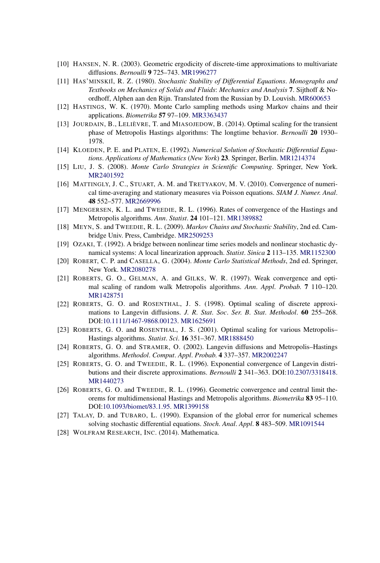- [10] HANSEN, N. R. (2003). Geometric ergodicity of discrete-time approximations to multivariate diffusions. *Bernoulli* **9** 725–743. [MR1996277](http://www.ams.org/mathscinet-getitem?mr=1996277)
- [11] HAS'MINSKIĬ, R. Z. (1980). *Stochastic Stability of Differential Equations*. *Monographs and Textbooks on Mechanics of Solids and Fluids*: *Mechanics and Analysis* **7**. Sijthoff & Noordhoff, Alphen aan den Rijn. Translated from the Russian by D. Louvish. [MR600653](http://www.ams.org/mathscinet-getitem?mr=600653)
- [12] HASTINGS, W. K. (1970). Monte Carlo sampling methods using Markov chains and their applications. *Biometrika* **57** 97–109. [MR3363437](http://www.ams.org/mathscinet-getitem?mr=3363437)
- [13] JOURDAIN, B., LELIÈVRE, T. and MIASOJEDOW, B. (2014). Optimal scaling for the transient phase of Metropolis Hastings algorithms: The longtime behavior. *Bernoulli* **20** 1930– 1978.
- [14] KLOEDEN, P. E. and PLATEN, E. (1992). *Numerical Solution of Stochastic Differential Equations*. *Applications of Mathematics* (*New York*) **23**. Springer, Berlin. [MR1214374](http://www.ams.org/mathscinet-getitem?mr=1214374)
- [15] LIU, J. S. (2008). *Monte Carlo Strategies in Scientific Computing*. Springer, New York. [MR2401592](http://www.ams.org/mathscinet-getitem?mr=2401592)
- [16] MATTINGLY, J. C., STUART, A. M. and TRETYAKOV, M. V. (2010). Convergence of numerical time-averaging and stationary measures via Poisson equations. *SIAM J*. *Numer*. *Anal*. **48** 552–577. [MR2669996](http://www.ams.org/mathscinet-getitem?mr=2669996)
- [17] MENGERSEN, K. L. and TWEEDIE, R. L. (1996). Rates of convergence of the Hastings and Metropolis algorithms. *Ann*. *Statist*. **24** 101–121. [MR1389882](http://www.ams.org/mathscinet-getitem?mr=1389882)
- [18] MEYN, S. and TWEEDIE, R. L. (2009). *Markov Chains and Stochastic Stability*, 2nd ed. Cambridge Univ. Press, Cambridge. [MR2509253](http://www.ams.org/mathscinet-getitem?mr=2509253)
- [19] OZAKI, T. (1992). A bridge between nonlinear time series models and nonlinear stochastic dynamical systems: A local linearization approach. *Statist*. *Sinica* **2** 113–135. [MR1152300](http://www.ams.org/mathscinet-getitem?mr=1152300)
- [20] ROBERT, C. P. and CASELLA, G. (2004). *Monte Carlo Statistical Methods*, 2nd ed. Springer, New York. [MR2080278](http://www.ams.org/mathscinet-getitem?mr=2080278)
- [21] ROBERTS, G. O., GELMAN, A. and GILKS, W. R. (1997). Weak convergence and optimal scaling of random walk Metropolis algorithms. *Ann*. *Appl*. *Probab*. **7** 110–120. [MR1428751](http://www.ams.org/mathscinet-getitem?mr=1428751)
- [22] ROBERTS, G. O. and ROSENTHAL, J. S. (1998). Optimal scaling of discrete approximations to Langevin diffusions. *J*. *R*. *Stat*. *Soc*. *Ser*. *B*. *Stat*. *Methodol*. **60** 255–268. DOI[:10.1111/1467-9868.00123.](http://dx.doi.org/10.1111/1467-9868.00123) [MR1625691](http://www.ams.org/mathscinet-getitem?mr=1625691)
- [23] ROBERTS, G. O. and ROSENTHAL, J. S. (2001). Optimal scaling for various Metropolis– Hastings algorithms. *Statist*. *Sci*. **16** 351–367. [MR1888450](http://www.ams.org/mathscinet-getitem?mr=1888450)
- [24] ROBERTS, G. O. and STRAMER, O. (2002). Langevin diffusions and Metropolis–Hastings algorithms. *Methodol*. *Comput*. *Appl*. *Probab*. **4** 337–357. [MR2002247](http://www.ams.org/mathscinet-getitem?mr=2002247)
- [25] ROBERTS, G. O. and TWEEDIE, R. L. (1996). Exponential convergence of Langevin distributions and their discrete approximations. *Bernoulli* **2** 341–363. DOI[:10.2307/3318418.](http://dx.doi.org/10.2307/3318418) [MR1440273](http://www.ams.org/mathscinet-getitem?mr=1440273)
- [26] ROBERTS, G. O. and TWEEDIE, R. L. (1996). Geometric convergence and central limit theorems for multidimensional Hastings and Metropolis algorithms. *Biometrika* **83** 95–110. DOI[:10.1093/biomet/83.1.95.](http://dx.doi.org/10.1093/biomet/83.1.95) [MR1399158](http://www.ams.org/mathscinet-getitem?mr=1399158)
- [27] TALAY, D. and TUBARO, L. (1990). Expansion of the global error for numerical schemes solving stochastic differential equations. *Stoch*. *Anal*. *Appl*. **8** 483–509. [MR1091544](http://www.ams.org/mathscinet-getitem?mr=1091544)
- [28] WOLFRAM RESEARCH, INC. (2014). Mathematica.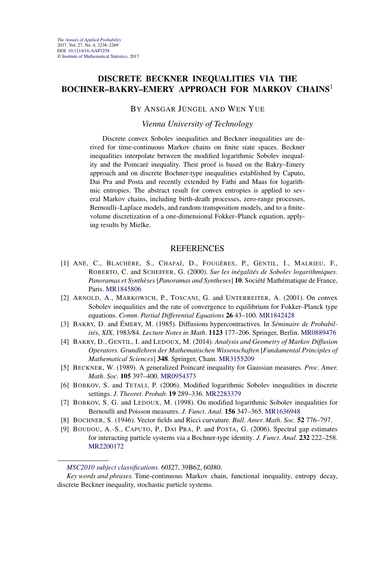# **DISCRETE BECKNER INEQUALITIES VIA THE BOCHNER–BAKRY–EMERY APPROACH FOR MARKOV CHAINS**<sup>1</sup>

## BY ANSGAR JÜNGEL AND WEN YUE

#### *Vienna University of Technology*

Discrete convex Sobolev inequalities and Beckner inequalities are derived for time-continuous Markov chains on finite state spaces. Beckner inequalities interpolate between the modified logarithmic Sobolev inequality and the Poincaré inequality. Their proof is based on the Bakry–Emery approach and on discrete Bochner-type inequalities established by Caputo, Dai Pra and Posta and recently extended by Fathi and Maas for logarithmic entropies. The abstract result for convex entropies is applied to several Markov chains, including birth-death processes, zero-range processes, Bernoulli–Laplace models, and random transposition models, and to a finitevolume discretization of a one-dimensional Fokker–Planck equation, applying results by Mielke.

- [1] ANÉ, C., BLACHÈRE, S., CHAFAÏ, D., FOUGÈRES, P., GENTIL, I., MALRIEU, F., ROBERTO, C. and SCHEFFER, G. (2000). *Sur les inégalités de Sobolev logarithmiques*. *Panoramas et Synthèses* [*Panoramas and Syntheses*] **10**. Société Mathématique de France, Paris. [MR1845806](http://www.ams.org/mathscinet-getitem?mr=1845806)
- [2] ARNOLD, A., MARKOWICH, P., TOSCANI, G. and UNTERREITER, A. (2001). On convex Sobolev inequalities and the rate of convergence to equilibrium for Fokker–Planck type equations. *Comm*. *Partial Differential Equations* **26** 43–100. [MR1842428](http://www.ams.org/mathscinet-getitem?mr=1842428)
- [3] BAKRY, D. and ÉMERY, M. (1985). Diffusions hypercontractives. In *Séminaire de Probabilités*, *XIX*, 1983*/*84. *Lecture Notes in Math*. **1123** 177–206. Springer, Berlin. [MR0889476](http://www.ams.org/mathscinet-getitem?mr=0889476)
- [4] BAKRY, D., GENTIL, I. and LEDOUX, M. (2014). *Analysis and Geometry of Markov Diffusion Operators*. *Grundlehren der Mathematischen Wissenschaften* [*Fundamental Principles of Mathematical Sciences*] **348**. Springer, Cham. [MR3155209](http://www.ams.org/mathscinet-getitem?mr=3155209)
- [5] BECKNER, W. (1989). A generalized Poincaré inequality for Gaussian measures. *Proc*. *Amer*. *Math*. *Soc*. **105** 397–400. [MR0954373](http://www.ams.org/mathscinet-getitem?mr=0954373)
- [6] BOBKOV, S. and TETALI, P. (2006). Modified logarithmic Sobolev inequalities in discrete settings. *J*. *Theoret*. *Probab*. **19** 289–336. [MR2283379](http://www.ams.org/mathscinet-getitem?mr=2283379)
- [7] BOBKOV, S. G. and LEDOUX, M. (1998). On modified logarithmic Sobolev inequalities for Bernoulli and Poisson measures. *J*. *Funct*. *Anal*. **156** 347–365. [MR1636948](http://www.ams.org/mathscinet-getitem?mr=1636948)
- [8] BOCHNER, S. (1946). Vector fields and Ricci curvature. *Bull*. *Amer*. *Math*. *Soc*. **52** 776–797.
- [9] BOUDOU, A.-S., CAPUTO, P., DAI PRA, P. and POSTA, G. (2006). Spectral gap estimates for interacting particle systems via a Bochner-type identity. *J*. *Funct*. *Anal*. **232** 222–258. [MR2200172](http://www.ams.org/mathscinet-getitem?mr=2200172)

*[MSC2010 subject classifications.](http://www.ams.org/mathscinet/msc/msc2010.html)* 60J27, 39B62, 60J80.

*Key words and phrases.* Time-continuous Markov chain, functional inequality, entropy decay, discrete Beckner inequality, stochastic particle systems.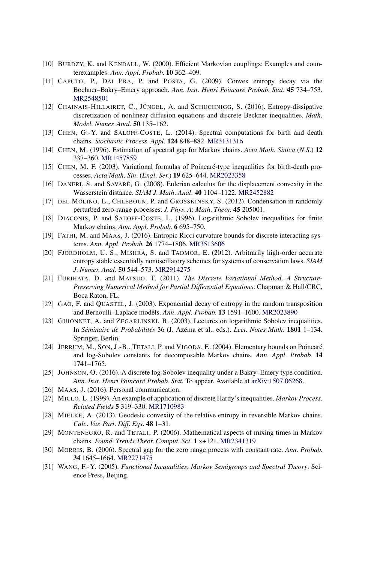- [10] BURDZY, K. and KENDALL, W. (2000). Efficient Markovian couplings: Examples and counterexamples. *Ann*. *Appl*. *Probab*. **10** 362–409.
- [11] CAPUTO, P., DAI PRA, P. and POSTA, G. (2009). Convex entropy decay via the Bochner–Bakry–Emery approach. *Ann*. *Inst*. *Henri Poincaré Probab*. *Stat*. **45** 734–753. [MR2548501](http://www.ams.org/mathscinet-getitem?mr=2548501)
- [12] CHAINAIS-HILLAIRET, C., JÜNGEL, A. and SCHUCHNIGG, S. (2016). Entropy-dissipative discretization of nonlinear diffusion equations and discrete Beckner inequalities. *Math*. *Model*. *Numer*. *Anal*. **50** 135–162.
- [13] CHEN, G.-Y. and SALOFF-COSTE, L. (2014). Spectral computations for birth and death chains. *Stochastic Process*. *Appl*. **124** 848–882. [MR3131316](http://www.ams.org/mathscinet-getitem?mr=3131316)
- [14] CHEN, M. (1996). Estimation of spectral gap for Markov chains. *Acta Math*. *Sinica* (*N*.*S*.) **12** 337–360. [MR1457859](http://www.ams.org/mathscinet-getitem?mr=1457859)
- [15] CHEN, M. F. (2003). Variational formulas of Poincaré-type inequalities for birth-death processes. *Acta Math*. *Sin*. (*Engl*. *Ser*.) **19** 625–644. [MR2023358](http://www.ams.org/mathscinet-getitem?mr=2023358)
- [16] DANERI, S. and SAVARÉ, G. (2008). Eulerian calculus for the displacement convexity in the Wasserstein distance. *SIAM J*. *Math*. *Anal*. **40** 1104–1122. [MR2452882](http://www.ams.org/mathscinet-getitem?mr=2452882)
- [17] DEL MOLINO, L., CHLEBOUN, P. and GROSSKINSKY, S. (2012). Condensation in randomly perturbed zero-range processes. *J*. *Phys*. *A*: *Math*. *Theor*. **45** 205001.
- [18] DIACONIS, P. and SALOFF-COSTE, L. (1996). Logarithmic Sobolev inequalities for finite Markov chains. *Ann*. *Appl*. *Probab*. **6** 695–750.
- [19] FATHI, M. and MAAS, J. (2016). Entropic Ricci curvature bounds for discrete interacting systems. *Ann*. *Appl*. *Probab*. **26** 1774–1806. [MR3513606](http://www.ams.org/mathscinet-getitem?mr=3513606)
- [20] FJORDHOLM, U. S., MISHRA, S. and TADMOR, E. (2012). Arbitrarily high-order accurate entropy stable essentially nonoscillatory schemes for systems of conservation laws. *SIAM J*. *Numer*. *Anal*. **50** 544–573. [MR2914275](http://www.ams.org/mathscinet-getitem?mr=2914275)
- [21] FURIHATA, D. and MATSUO, T. (2011). *The Discrete Variational Method*. *A Structure-Preserving Numerical Method for Partial Differential Equations*. Chapman & Hall/CRC, Boca Raton, FL.
- [22] GAO, F. and QUASTEL, J. (2003). Exponential decay of entropy in the random transposition and Bernoulli–Laplace models. *Ann*. *Appl*. *Probab*. **13** 1591–1600. [MR2023890](http://www.ams.org/mathscinet-getitem?mr=2023890)
- [23] GUIONNET, A. and ZEGARLINSKI, B. (2003). Lectures on logarithmic Sobolev inequalities. In *Séminaire de Probabilités* 36 (J. Azéma et al., eds.). *Lect*. *Notes Math*. **1801** 1–134. Springer, Berlin.
- [24] JERRUM, M., SON, J.-B., TETALI, P. and VIGODA, E. (2004). Elementary bounds on Poincaré and log-Sobolev constants for decomposable Markov chains. *Ann*. *Appl*. *Probab*. **14** 1741–1765.
- [25] JOHNSON, O. (2016). A discrete log-Sobolev inequality under a Bakry–Emery type condition. *Ann. Inst. Henri Poincaré Probab. Stat.* To appear. Available at [arXiv:1507.06268.](http://arxiv.org/abs/arXiv:1507.06268)
- [26] MAAS, J. (2016). Personal communication.
- [27] MICLO, L. (1999). An example of application of discrete Hardy's inequalities. *Markov Process*. *Related Fields* **5** 319–330. [MR1710983](http://www.ams.org/mathscinet-getitem?mr=1710983)
- [28] MIELKE, A. (2013). Geodesic convexity of the relative entropy in reversible Markov chains. *Calc*. *Var*. *Part*. *Diff*. *Eqs*. **48** 1–31.
- [29] MONTENEGRO, R. and TETALI, P. (2006). Mathematical aspects of mixing times in Markov chains. *Found*. *Trends Theor*. *Comput*. *Sci*. **1** x+121. [MR2341319](http://www.ams.org/mathscinet-getitem?mr=2341319)
- [30] MORRIS, B. (2006). Spectral gap for the zero range process with constant rate. *Ann*. *Probab*. **34** 1645–1664. [MR2271475](http://www.ams.org/mathscinet-getitem?mr=2271475)
- [31] WANG, F.-Y. (2005). *Functional Inequalities*, *Markov Semigroups and Spectral Theory*. Science Press, Beijing.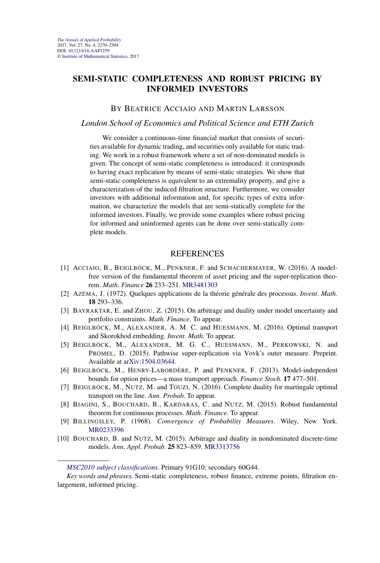# **SEMI-STATIC COMPLETENESS AND ROBUST PRICING BY INFORMED INVESTORS**

## BY BEATRICE ACCIAIO AND MARTIN LARSSON

## *London School of Economics and Political Science and ETH Zurich*

We consider a continuous-time financial market that consists of securities available for dynamic trading, and securities only available for static trading. We work in a robust framework where a set of non-dominated models is given. The concept of semi-static completeness is introduced: it corresponds to having exact replication by means of semi-static strategies. We show that semi-static completeness is equivalent to an extremality property, and give a characterization of the induced filtration structure. Furthermore, we consider investors with additional information and, for specific types of extra information, we characterize the models that are semi-statically complete for the informed investors. Finally, we provide some examples where robust pricing for informed and uninformed agents can be done over semi-statically complete models.

- [1] ACCIAIO, B., BEIGLBÖCK, M., PENKNER, F. and SCHACHERMAYER, W. (2016). A modelfree version of the fundamental theorem of asset pricing and the super-replication theorem. *Math*. *Finance* **26** 233–251. [MR3481303](http://www.ams.org/mathscinet-getitem?mr=3481303)
- [2] AZÉMA, J. (1972). Quelques applications de la théorie générale des processus. *Invent*. *Math*. **18** 293–336.
- [3] BAYRAKTAR, E. and ZHOU, Z. (2015). On arbitrage and duality under model uncertainty and portfolio constraints. *Math*. *Finance*. To appear.
- [4] BEIGLBÖCK, M., ALEXANDER, A. M. C. and HUESMANN, M. (2016). Optimal transport and Skorokhod embedding. *Invent*. *Math*. To appear.
- [5] BEIGLBÖCK, M., ALEXANDER, M. G. C., HUESMANN, M., PERKOWSKI, N. and PRÖMEL, D. (2015). Pathwise super-replication via Vovk's outer measure. Preprint. Available at [arXiv:1504.03644](http://arxiv.org/abs/arXiv:1504.03644).
- [6] BEIGLBÖCK, M., HENRY-LABORDÈRE, P. and PENKNER, F. (2013). Model-independent bounds for option prices—a mass transport approach. *Finance Stoch*. **17** 477–501.
- [7] BEIGLBÖCK, M., NUTZ, M. and TOUZI, N. (2016). Complete duality for martingale optimal transport on the line. *Ann*. *Probab*. To appear.
- [8] BIAGINI, S., BOUCHARD, B., KARDARAS, C. and NUTZ, M. (2015). Robust fundamental theorem for continuous processes. *Math*. *Finance*. To appear.
- [9] BILLINGSLEY, P. (1968). *Convergence of Probability Measures*. Wiley, New York. [MR0233396](http://www.ams.org/mathscinet-getitem?mr=0233396)
- [10] BOUCHARD, B. and NUTZ, M. (2015). Arbitrage and duality in nondominated discrete-time models. *Ann*. *Appl*. *Probab*. **25** 823–859. [MR3313756](http://www.ams.org/mathscinet-getitem?mr=3313756)

*[MSC2010 subject classifications.](http://www.ams.org/mathscinet/msc/msc2010.html)* Primary 91G10; secondary 60G44.

*Key words and phrases.* Semi-static completeness, robust finance, extreme points, filtration enlargement, informed pricing.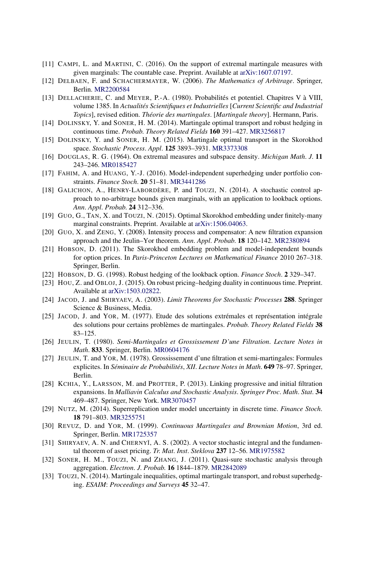- [11] CAMPI, L. and MARTINI, C. (2016). On the support of extremal martingale measures with given marginals: The countable case. Preprint. Available at [arXiv:1607.07197](http://arxiv.org/abs/arXiv:1607.07197).
- [12] DELBAEN, F. and SCHACHERMAYER, W. (2006). *The Mathematics of Arbitrage*. Springer, Berlin. [MR2200584](http://www.ams.org/mathscinet-getitem?mr=2200584)
- [13] DELLACHERIE, C. and MEYER, P.-A. (1980). Probabilités et potentiel. Chapitres V à VIII, volume 1385. In *Actualités Scientifiques et Industrielles* [*Current Scientific and Industrial Topics*], revised edition. *Théorie des martingales*. [*Martingale theory*]. Hermann, Paris.
- [14] DOLINSKY, Y. and SONER, H. M. (2014). Martingale optimal transport and robust hedging in continuous time. *Probab*. *Theory Related Fields* **160** 391–427. [MR3256817](http://www.ams.org/mathscinet-getitem?mr=3256817)
- [15] DOLINSKY, Y. and SONER, H. M. (2015). Martingale optimal transport in the Skorokhod space. *Stochastic Process*. *Appl*. **125** 3893–3931. [MR3373308](http://www.ams.org/mathscinet-getitem?mr=3373308)
- [16] DOUGLAS, R. G. (1964). On extremal measures and subspace density. *Michigan Math*. *J*. **11** 243–246. [MR0185427](http://www.ams.org/mathscinet-getitem?mr=0185427)
- [17] FAHIM, A. and HUANG, Y.-J. (2016). Model-independent superhedging under portfolio constraints. *Finance Stoch*. **20** 51–81. [MR3441286](http://www.ams.org/mathscinet-getitem?mr=3441286)
- [18] GALICHON, A., HENRY-LABORDÈRE, P. and TOUZI, N. (2014). A stochastic control approach to no-arbitrage bounds given marginals, with an application to lookback options. *Ann*. *Appl*. *Probab*. **24** 312–336.
- [19] GUO, G., TAN, X. and TOUZI, N. (2015). Optimal Skorokhod embedding under finitely-many marginal constraints. Preprint. Available at [arXiv:1506.04063.](http://arxiv.org/abs/arXiv:1506.04063)
- [20] GUO, X. and ZENG, Y. (2008). Intensity process and compensator: A new filtration expansion approach and the Jeulin–Yor theorem. *Ann*. *Appl*. *Probab*. **18** 120–142. [MR2380894](http://www.ams.org/mathscinet-getitem?mr=2380894)
- [21] HOBSON, D. (2011). The Skorokhod embedding problem and model-independent bounds for option prices. In *Paris-Princeton Lectures on Mathematical Finance* 2010 267–318. Springer, Berlin.
- [22] HOBSON, D. G. (1998). Robust hedging of the lookback option. *Finance Stoch*. **2** 329–347.
- [23] HOU, Z. and OBLOJ, J. (2015). On robust pricing–hedging duality in continuous time. Preprint. Available at [arXiv:1503.02822](http://arxiv.org/abs/arXiv:1503.02822).
- [24] JACOD, J. and SHIRYAEV, A. (2003). *Limit Theorems for Stochastic Processes* **288**. Springer Science & Business, Media.
- [25] JACOD, J. and YOR, M. (1977). Etude des solutions extrémales et représentation intégrale des solutions pour certains problèmes de martingales. *Probab*. *Theory Related Fields* **38** 83–125.
- [26] JEULIN, T. (1980). *Semi-Martingales et Grossissement D'une Filtration*. *Lecture Notes in Math*. **833**. Springer, Berlin. [MR0604176](http://www.ams.org/mathscinet-getitem?mr=0604176)
- [27] JEULIN, T. and YOR, M. (1978). Grossissement d'une filtration et semi-martingales: Formules explicites. In *Séminaire de Probabilités*, *XII*. *Lecture Notes in Math*. **649** 78–97. Springer, Berlin.
- [28] KCHIA, Y., LARSSON, M. and PROTTER, P. (2013). Linking progressive and initial filtration expansions. In *Malliavin Calculus and Stochastic Analysis*. *Springer Proc*. *Math*. *Stat*. **34** 469–487. Springer, New York. [MR3070457](http://www.ams.org/mathscinet-getitem?mr=3070457)
- [29] NUTZ, M. (2014). Superreplication under model uncertainty in discrete time. *Finance Stoch*. **18** 791–803. [MR3255751](http://www.ams.org/mathscinet-getitem?mr=3255751)
- [30] REVUZ, D. and YOR, M. (1999). *Continuous Martingales and Brownian Motion*, 3rd ed. Springer, Berlin. [MR1725357](http://www.ams.org/mathscinet-getitem?mr=1725357)
- [31] SHIRYAEV, A. N. and CHERNYĬ, A. S. (2002). A vector stochastic integral and the fundamental theorem of asset pricing. *Tr*. *Mat*. *Inst*. *Steklova* **237** 12–56. [MR1975582](http://www.ams.org/mathscinet-getitem?mr=1975582)
- [32] SONER, H. M., TOUZI, N. and ZHANG, J. (2011). Quasi-sure stochastic analysis through aggregation. *Electron*. *J*. *Probab*. **16** 1844–1879. [MR2842089](http://www.ams.org/mathscinet-getitem?mr=2842089)
- [33] TOUZI, N. (2014). Martingale inequalities, optimal martingale transport, and robust superhedging. *ESAIM*: *Proceedings and Surveys* **45** 32–47.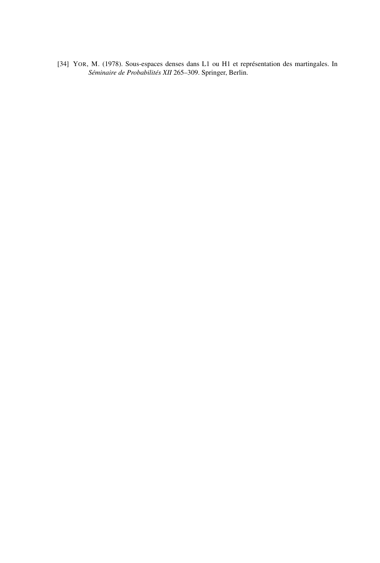[34] YOR, M. (1978). Sous-espaces denses dans L1 ou H1 et représentation des martingales. In *Séminaire de Probabilités XII* 265–309. Springer, Berlin.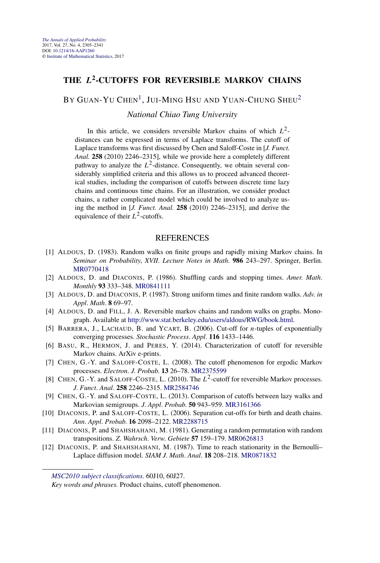# **THE** *L***2-CUTOFFS FOR REVERSIBLE MARKOV CHAINS**

BY GUAN-YU CHEN<sup>1</sup>, JUI-MING HSU AND YUAN-CHUNG SHEU<sup>2</sup>

#### *National Chiao Tung University*

In this article, we considers reversible Markov chains of which *L*2 distances can be expressed in terms of Laplace transforms. The cutoff of Laplace transforms was first discussed by Chen and Saloff-Coste in [*J. Funct. Anal.* **258** (2010) 2246–2315], while we provide here a completely different pathway to analyze the  $L^2$ -distance. Consequently, we obtain several considerably simplified criteria and this allows us to proceed advanced theoretical studies, including the comparison of cutoffs between discrete time lazy chains and continuous time chains. For an illustration, we consider product chains, a rather complicated model which could be involved to analyze using the method in [*J. Funct. Anal.* **258** (2010) 2246–2315], and derive the equivalence of their *L*2-cutoffs.

- [1] ALDOUS, D. (1983). Random walks on finite groups and rapidly mixing Markov chains. In *Seminar on Probability*, *XVII*. *Lecture Notes in Math*. **986** 243–297. Springer, Berlin. [MR0770418](http://www.ams.org/mathscinet-getitem?mr=0770418)
- [2] ALDOUS, D. and DIACONIS, P. (1986). Shuffling cards and stopping times. *Amer*. *Math*. *Monthly* **93** 333–348. [MR0841111](http://www.ams.org/mathscinet-getitem?mr=0841111)
- [3] ALDOUS, D. and DIACONIS, P. (1987). Strong uniform times and finite random walks. *Adv*. *in Appl*. *Math*. **8** 69–97.
- [4] ALDOUS, D. and FILL, J. A. Reversible markov chains and random walks on graphs. Monograph. Available at [http://www.stat.berkeley.edu/users/aldous/RWG/book.html.](http://www.stat.berkeley.edu/users/aldous/RWG/book.html)
- [5] BARRERA, J., LACHAUD, B. and YCART, B. (2006). Cut-off for *n*-tuples of exponentially converging processes. *Stochastic Process*. *Appl*. **116** 1433–1446.
- [6] BASU, R., HERMON, J. and PERES, Y. (2014). Characterization of cutoff for reversible Markov chains. ArXiv e-prints.
- [7] CHEN, G.-Y. and SALOFF-COSTE, L. (2008). The cutoff phenomenon for ergodic Markov processes. *Electron*. *J*. *Probab*. **13** 26–78. [MR2375599](http://www.ams.org/mathscinet-getitem?mr=2375599)
- [8] CHEN, G.-Y. and SALOFF-COSTE, L. (2010). The *L*<sup>2</sup>-cutoff for reversible Markov processes. *J*. *Funct*. *Anal*. **258** 2246–2315. [MR2584746](http://www.ams.org/mathscinet-getitem?mr=2584746)
- [9] CHEN, G.-Y. and SALOFF-COSTE, L. (2013). Comparison of cutoffs between lazy walks and Markovian semigroups. *J*. *Appl*. *Probab*. **50** 943–959. [MR3161366](http://www.ams.org/mathscinet-getitem?mr=3161366)
- [10] DIACONIS, P. and SALOFF-COSTE, L. (2006). Separation cut-offs for birth and death chains. *Ann*. *Appl*. *Probab*. **16** 2098–2122. [MR2288715](http://www.ams.org/mathscinet-getitem?mr=2288715)
- [11] DIACONIS, P. and SHAHSHAHANI, M. (1981). Generating a random permutation with random transpositions. *Z*. *Wahrsch*. *Verw*. *Gebiete* **57** 159–179. [MR0626813](http://www.ams.org/mathscinet-getitem?mr=0626813)
- [12] DIACONIS, P. and SHAHSHAHANI, M. (1987). Time to reach stationarity in the Bernoulli– Laplace diffusion model. *SIAM J*. *Math*. *Anal*. **18** 208–218. [MR0871832](http://www.ams.org/mathscinet-getitem?mr=0871832)

*[MSC2010 subject classifications.](http://www.ams.org/mathscinet/msc/msc2010.html)* 60J10, 60J27.

*Key words and phrases.* Product chains, cutoff phenomenon.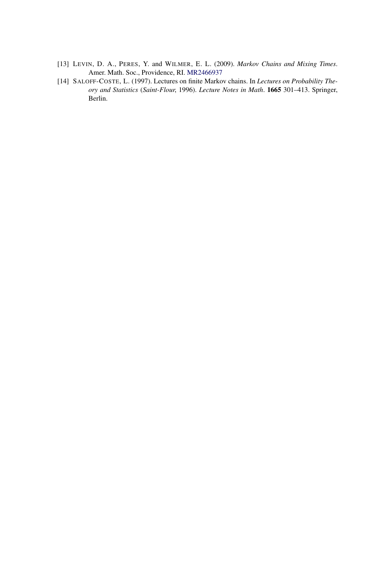- [13] LEVIN, D. A., PERES, Y. and WILMER, E. L. (2009). *Markov Chains and Mixing Times*. Amer. Math. Soc., Providence, RI. [MR2466937](http://www.ams.org/mathscinet-getitem?mr=2466937)
- [14] SALOFF-COSTE, L. (1997). Lectures on finite Markov chains. In *Lectures on Probability Theory and Statistics* (*Saint-Flour*, 1996). *Lecture Notes in Math*. **1665** 301–413. Springer, Berlin.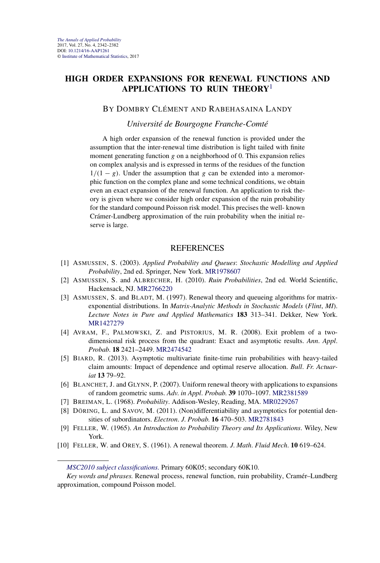# **HIGH ORDER EXPANSIONS FOR RENEWAL FUNCTIONS AND APPLICATIONS TO RUIN THEORY**<sup>1</sup>

#### BY DOMBRY CLÉMENT AND RABEHASAINA LANDY

#### *Université de Bourgogne Franche-Comté*

A high order expansion of the renewal function is provided under the assumption that the inter-renewal time distribution is light tailed with finite moment generating function *g* on a neighborhood of 0. This expansion relies on complex analysis and is expressed in terms of the residues of the function  $1/(1 - g)$ . Under the assumption that *g* can be extended into a meromorphic function on the complex plane and some technical conditions, we obtain even an exact expansion of the renewal function. An application to risk theory is given where we consider high order expansion of the ruin probability for the standard compound Poisson risk model. This precises the well- known Crámer-Lundberg approximation of the ruin probability when the initial reserve is large.

- [1] ASMUSSEN, S. (2003). *Applied Probability and Queues*: *Stochastic Modelling and Applied Probability*, 2nd ed. Springer, New York. [MR1978607](http://www.ams.org/mathscinet-getitem?mr=1978607)
- [2] ASMUSSEN, S. and ALBRECHER, H. (2010). *Ruin Probabilities*, 2nd ed. World Scientific, Hackensack, NJ. [MR2766220](http://www.ams.org/mathscinet-getitem?mr=2766220)
- [3] ASMUSSEN, S. and BLADT, M. (1997). Renewal theory and queueing algorithms for matrixexponential distributions. In *Matrix-Analytic Methods in Stochastic Models* (*Flint*, *MI*). *Lecture Notes in Pure and Applied Mathematics* **183** 313–341. Dekker, New York. [MR1427279](http://www.ams.org/mathscinet-getitem?mr=1427279)
- [4] AVRAM, F., PALMOWSKI, Z. and PISTORIUS, M. R. (2008). Exit problem of a twodimensional risk process from the quadrant: Exact and asymptotic results. *Ann*. *Appl*. *Probab*. **18** 2421–2449. [MR2474542](http://www.ams.org/mathscinet-getitem?mr=2474542)
- [5] BIARD, R. (2013). Asymptotic multivariate finite-time ruin probabilities with heavy-tailed claim amounts: Impact of dependence and optimal reserve allocation. *Bull*. *Fr*. *Actuariat* **13** 79–92.
- [6] BLANCHET, J. and GLYNN, P. (2007). Uniform renewal theory with applications to expansions of random geometric sums. *Adv*. *in Appl*. *Probab*. **39** 1070–1097. [MR2381589](http://www.ams.org/mathscinet-getitem?mr=2381589)
- [7] BREIMAN, L. (1968). *Probability*. Addison-Wesley, Reading, MA. [MR0229267](http://www.ams.org/mathscinet-getitem?mr=0229267)
- [8] DÖRING, L. and SAVOV, M. (2011). (Non)differentiability and asymptotics for potential densities of subordinators. *Electron*. *J*. *Probab*. **16** 470–503. [MR2781843](http://www.ams.org/mathscinet-getitem?mr=2781843)
- [9] FELLER, W. (1965). *An Introduction to Probability Theory and Its Applications*. Wiley, New York.
- [10] FELLER, W. and OREY, S. (1961). A renewal theorem. *J*. *Math*. *Fluid Mech*. **10** 619–624.

*[MSC2010 subject classifications.](http://www.ams.org/mathscinet/msc/msc2010.html)* Primary 60K05; secondary 60K10.

*Key words and phrases.* Renewal process, renewal function, ruin probability, Cramér–Lundberg approximation, compound Poisson model.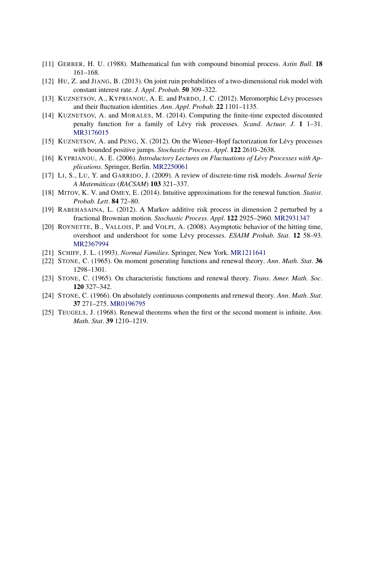- [11] GERBER, H. U. (1988). Mathematical fun with compound binomial process. *Astin Bull*. **18** 161–168.
- [12] HU, Z. and JIANG, B. (2013). On joint ruin probabilities of a two-dimensional risk model with constant interest rate. *J*. *Appl*. *Probab*. **50** 309–322.
- [13] KUZNETSOV, A., KYPRIANOU, A. E. and PARDO, J. C. (2012). Meromorphic Lévy processes and their fluctuation identities. *Ann*. *Appl*. *Probab*. **22** 1101–1135.
- [14] KUZNETSOV, A. and MORALES, M. (2014). Computing the finite-time expected discounted penalty function for a family of Lévy risk processes. *Scand*. *Actuar*. *J*. **1** 1–31. [MR3176015](http://www.ams.org/mathscinet-getitem?mr=3176015)
- [15] KUZNETSOV, A. and PENG, X. (2012). On the Wiener–Hopf factorization for Lévy processes with bounded positive jumps. *Stochastic Process*. *Appl*. **122** 2610–2638.
- [16] KYPRIANOU, A. E. (2006). *Introductory Lectures on Fluctuations of Lévy Processes with Applications*. Springer, Berlin. [MR2250061](http://www.ams.org/mathscinet-getitem?mr=2250061)
- [17] LI, S., LU, Y. and GARRIDO, J. (2009). A review of discrete-time risk models. *Journal Serie A Matemáticas* (*RACSAM*) **103** 321–337.
- [18] MITOV, K. V. and OMEY, E. (2014). Intuitive approximations for the renewal function. *Statist*. *Probab*. *Lett*. **84** 72–80.
- [19] RABEHASAINA, L. (2012). A Markov additive risk process in dimension 2 perturbed by a fractional Brownian motion. *Stochastic Process*. *Appl*. **122** 2925–2960. [MR2931347](http://www.ams.org/mathscinet-getitem?mr=2931347)
- [20] ROYNETTE, B., VALLOIS, P. and VOLPI, A. (2008). Asymptotic behavior of the hitting time, overshoot and undershoot for some Lévy processes. *ESAIM Probab*. *Stat*. **12** 58–93. [MR2367994](http://www.ams.org/mathscinet-getitem?mr=2367994)
- [21] SCHIFF, J. L. (1993). *Normal Families*. Springer, New York. [MR1211641](http://www.ams.org/mathscinet-getitem?mr=1211641)
- [22] STONE, C. (1965). On moment generating functions and renewal theory. *Ann*. *Math*. *Stat*. **36** 1298–1301.
- [23] STONE, C. (1965). On characteristic functions and renewal theory. *Trans*. *Amer*. *Math*. *Soc*. **120** 327–342.
- [24] STONE, C. (1966). On absolutely continuous components and renewal theory. *Ann*. *Math*. *Stat*. **37** 271–275. [MR0196795](http://www.ams.org/mathscinet-getitem?mr=0196795)
- [25] TEUGELS, J. (1968). Renewal theorems when the first or the second moment is infinite. *Ann*. *Math*. *Stat*. **39** 1210–1219.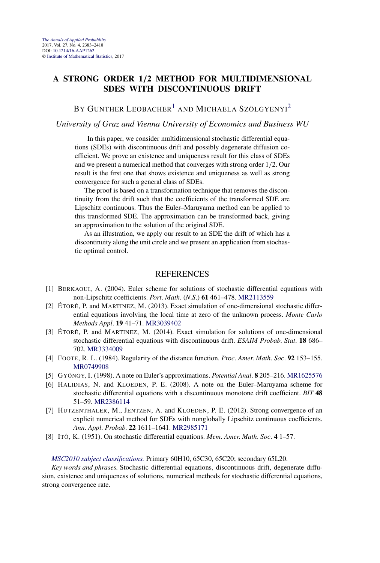# **A STRONG ORDER 1***/***2 METHOD FOR MULTIDIMENSIONAL SDES WITH DISCONTINUOUS DRIFT**

BY GUNTHER LEOBACHER<sup>1</sup> AND MICHAELA SZÖLGYENYI<sup>2</sup>

#### *University of Graz and Vienna University of Economics and Business WU*

In this paper, we consider multidimensional stochastic differential equations (SDEs) with discontinuous drift and possibly degenerate diffusion coefficient. We prove an existence and uniqueness result for this class of SDEs and we present a numerical method that converges with strong order 1*/*2. Our result is the first one that shows existence and uniqueness as well as strong convergence for such a general class of SDEs.

The proof is based on a transformation technique that removes the discontinuity from the drift such that the coefficients of the transformed SDE are Lipschitz continuous. Thus the Euler–Maruyama method can be applied to this transformed SDE. The approximation can be transformed back, giving an approximation to the solution of the original SDE.

As an illustration, we apply our result to an SDE the drift of which has a discontinuity along the unit circle and we present an application from stochastic optimal control.

- [1] BERKAOUI, A. (2004). Euler scheme for solutions of stochastic differential equations with non-Lipschitz coefficients. *Port*. *Math*. (*N*.*S*.) **61** 461–478. [MR2113559](http://www.ams.org/mathscinet-getitem?mr=2113559)
- [2] ÉTORÉ, P. and MARTINEZ, M. (2013). Exact simulation of one-dimensional stochastic differential equations involving the local time at zero of the unknown process. *Monte Carlo Methods Appl*. **19** 41–71. [MR3039402](http://www.ams.org/mathscinet-getitem?mr=3039402)
- [3] ÉTORÉ, P. and MARTINEZ, M. (2014). Exact simulation for solutions of one-dimensional stochastic differential equations with discontinuous drift. *ESAIM Probab*. *Stat*. **18** 686– 702. [MR3334009](http://www.ams.org/mathscinet-getitem?mr=3334009)
- [4] FOOTE, R. L. (1984). Regularity of the distance function. *Proc*. *Amer*. *Math*. *Soc*. **92** 153–155. [MR0749908](http://www.ams.org/mathscinet-getitem?mr=0749908)
- [5] GYÖNGY, I. (1998). A note on Euler's approximations. *Potential Anal*. **8** 205–216. [MR1625576](http://www.ams.org/mathscinet-getitem?mr=1625576)
- [6] HALIDIAS, N. and KLOEDEN, P. E. (2008). A note on the Euler–Maruyama scheme for stochastic differential equations with a discontinuous monotone drift coefficient. *BIT* **48** 51–59. [MR2386114](http://www.ams.org/mathscinet-getitem?mr=2386114)
- [7] HUTZENTHALER, M., JENTZEN, A. and KLOEDEN, P. E. (2012). Strong convergence of an explicit numerical method for SDEs with nonglobally Lipschitz continuous coefficients. *Ann*. *Appl*. *Probab*. **22** 1611–1641. [MR2985171](http://www.ams.org/mathscinet-getitem?mr=2985171)
- [8] ITÔ, K. (1951). On stochastic differential equations. *Mem*. *Amer*. *Math*. *Soc*. **4** 1–57.

*[MSC2010 subject classifications.](http://www.ams.org/mathscinet/msc/msc2010.html)* Primary 60H10, 65C30, 65C20; secondary 65L20.

*Key words and phrases.* Stochastic differential equations, discontinuous drift, degenerate diffusion, existence and uniqueness of solutions, numerical methods for stochastic differential equations, strong convergence rate.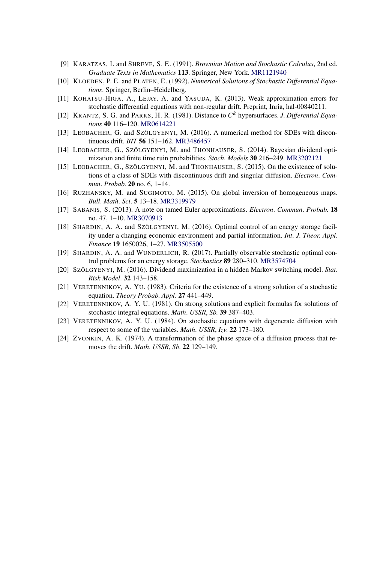- [9] KARATZAS, I. and SHREVE, S. E. (1991). *Brownian Motion and Stochastic Calculus*, 2nd ed. *Graduate Texts in Mathematics* **113**. Springer, New York. [MR1121940](http://www.ams.org/mathscinet-getitem?mr=1121940)
- [10] KLOEDEN, P. E. and PLATEN, E. (1992). *Numerical Solutions of Stochastic Differential Equations*. Springer, Berlin–Heidelberg.
- [11] KOHATSU-HIGA, A., LEJAY, A. and YASUDA, K. (2013). Weak approximation errors for stochastic differential equations with non-regular drift. Preprint, Inria, hal-00840211.
- [12] KRANTZ, S. G. and PARKS, H. R. (1981). Distance to *C<sup>k</sup>* hypersurfaces. *J*. *Differential Equations* **40** 116–120. [MR0614221](http://www.ams.org/mathscinet-getitem?mr=0614221)
- [13] LEOBACHER, G. and SZÖLGYENYI, M. (2016). A numerical method for SDEs with discontinuous drift. *BIT* **56** 151–162. [MR3486457](http://www.ams.org/mathscinet-getitem?mr=3486457)
- [14] LEOBACHER, G., SZÖLGYENYI, M. and THONHAUSER, S. (2014). Bayesian dividend optimization and finite time ruin probabilities. *Stoch*. *Models* **30** 216–249. [MR3202121](http://www.ams.org/mathscinet-getitem?mr=3202121)
- [15] LEOBACHER, G., SZÖLGYENYI, M. and THONHAUSER, S. (2015). On the existence of solutions of a class of SDEs with discontinuous drift and singular diffusion. *Electron*. *Commun*. *Probab*. **20** no. 6, 1–14.
- [16] RUZHANSKY, M. and SUGIMOTO, M. (2015). On global inversion of homogeneous maps. *Bull*. *Math*. *Sci*. **5** 13–18. [MR3319979](http://www.ams.org/mathscinet-getitem?mr=3319979)
- [17] SABANIS, S. (2013). A note on tamed Euler approximations. *Electron*. *Commun*. *Probab*. **18** no. 47, 1–10. [MR3070913](http://www.ams.org/mathscinet-getitem?mr=3070913)
- [18] SHARDIN, A. A. and SZÖLGYENYI, M. (2016). Optimal control of an energy storage facility under a changing economic environment and partial information. *Int*. *J*. *Theor*. *Appl*. *Finance* **19** 1650026, 1–27. [MR3505500](http://www.ams.org/mathscinet-getitem?mr=3505500)
- [19] SHARDIN, A. A. and WUNDERLICH, R. (2017). Partially observable stochastic optimal control problems for an energy storage. *Stochastics* **89** 280–310. [MR3574704](http://www.ams.org/mathscinet-getitem?mr=3574704)
- [20] SZÖLGYENYI, M. (2016). Dividend maximization in a hidden Markov switching model. *Stat*. *Risk Model*. **32** 143–158.
- [21] VERETENNIKOV, A. YU. (1983). Criteria for the existence of a strong solution of a stochastic equation. *Theory Probab*. *Appl*. **27** 441–449.
- [22] VERETENNIKOV, A. Y. U. (1981). On strong solutions and explicit formulas for solutions of stochastic integral equations. *Math*. *USSR*, *Sb*. **39** 387–403.
- [23] VERETENNIKOV, A. Y. U. (1984). On stochastic equations with degenerate diffusion with respect to some of the variables. *Math*. *USSR*, *Izv*. **22** 173–180.
- [24] ZVONKIN, A. K. (1974). A transformation of the phase space of a diffusion process that removes the drift. *Math*. *USSR*, *Sb*. **22** 129–149.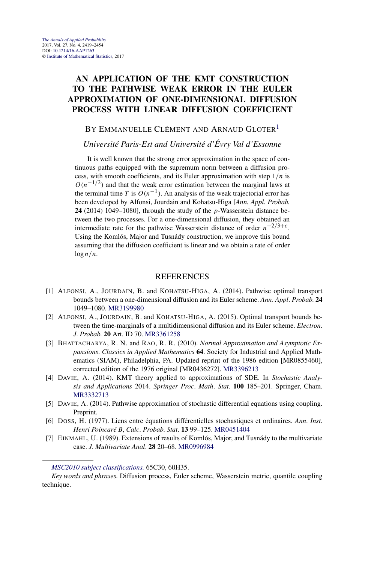# **AN APPLICATION OF THE KMT CONSTRUCTION TO THE PATHWISE WEAK ERROR IN THE EULER APPROXIMATION OF ONE-DIMENSIONAL DIFFUSION PROCESS WITH LINEAR DIFFUSION COEFFICIENT**

## BY EMMANUELLE CLÉMENT AND ARNAUD GLOTER<sup>1</sup>

# *Université Paris-Est and Université d'Évry Val d'Essonne*

It is well known that the strong error approximation in the space of continuous paths equipped with the supremum norm between a diffusion process, with smooth coefficients, and its Euler approximation with step 1*/n* is  $O(n^{-1/2})$  and that the weak error estimation between the marginal laws at the terminal time *T* is  $O(n^{-1})$ . An analysis of the weak trajectorial error has been developed by Alfonsi, Jourdain and Kohatsu-Higa [*Ann. Appl. Probab.* **24** (2014) 1049–1080], through the study of the *p*-Wasserstein distance between the two processes. For a one-dimensional diffusion, they obtained an intermediate rate for the pathwise Wasserstein distance of order  $n^{-2/3+\varepsilon}$ . Using the Komlós, Major and Tusnády construction, we improve this bound assuming that the diffusion coefficient is linear and we obtain a rate of order  $\log n/n$ .

- [1] ALFONSI, A., JOURDAIN, B. and KOHATSU-HIGA, A. (2014). Pathwise optimal transport bounds between a one-dimensional diffusion and its Euler scheme. *Ann*. *Appl*. *Probab*. **24** 1049–1080. [MR3199980](http://www.ams.org/mathscinet-getitem?mr=3199980)
- [2] ALFONSI, A., JOURDAIN, B. and KOHATSU-HIGA, A. (2015). Optimal transport bounds between the time-marginals of a multidimensional diffusion and its Euler scheme. *Electron*. *J*. *Probab*. **20** Art. ID 70. [MR3361258](http://www.ams.org/mathscinet-getitem?mr=3361258)
- [3] BHATTACHARYA, R. N. and RAO, R. R. (2010). *Normal Approximation and Asymptotic Expansions*. *Classics in Applied Mathematics* **64**. Society for Industrial and Applied Mathematics (SIAM), Philadelphia, PA. Updated reprint of the 1986 edition [MR0855460], corrected edition of the 1976 original [MR0436272]. [MR3396213](http://www.ams.org/mathscinet-getitem?mr=3396213)
- [4] DAVIE, A. (2014). KMT theory applied to approximations of SDE. In *Stochastic Analysis and Applications* 2014. *Springer Proc*. *Math*. *Stat*. **100** 185–201. Springer, Cham. [MR3332713](http://www.ams.org/mathscinet-getitem?mr=3332713)
- [5] DAVIE, A. (2014). Pathwise approximation of stochastic differential equations using coupling. Preprint.
- [6] DOSS, H. (1977). Liens entre équations différentielles stochastiques et ordinaires. *Ann*. *Inst*. *Henri Poincaré B*, *Calc*. *Probab*. *Stat*. **13** 99–125. [MR0451404](http://www.ams.org/mathscinet-getitem?mr=0451404)
- [7] EINMAHL, U. (1989). Extensions of results of Komlós, Major, and Tusnády to the multivariate case. *J*. *Multivariate Anal*. **28** 20–68. [MR0996984](http://www.ams.org/mathscinet-getitem?mr=0996984)

*[MSC2010 subject classifications.](http://www.ams.org/mathscinet/msc/msc2010.html)* 65C30, 60H35.

*Key words and phrases.* Diffusion process, Euler scheme, Wasserstein metric, quantile coupling technique.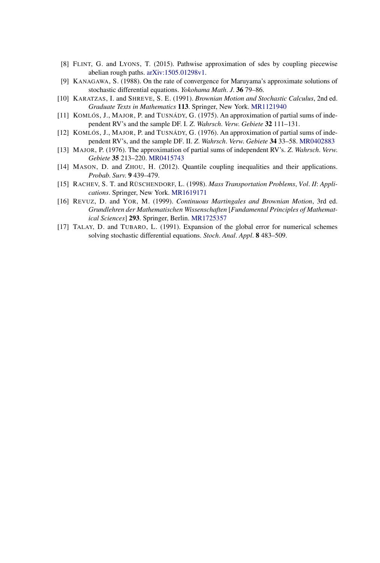- [8] FLINT, G. and LYONS, T. (2015). Pathwise approximation of sdes by coupling piecewise abelian rough paths. [arXiv:1505.01298v1](http://arxiv.org/abs/arXiv:1505.01298v1).
- [9] KANAGAWA, S. (1988). On the rate of convergence for Maruyama's approximate solutions of stochastic differential equations. *Yokohama Math*. *J*. **36** 79–86.
- [10] KARATZAS, I. and SHREVE, S. E. (1991). *Brownian Motion and Stochastic Calculus*, 2nd ed. *Graduate Texts in Mathematics* **113**. Springer, New York. [MR1121940](http://www.ams.org/mathscinet-getitem?mr=1121940)
- [11] KOMLÓS, J., MAJOR, P. and TUSNÁDY, G. (1975). An approximation of partial sums of independent RV's and the sample DF. I. *Z*. *Wahrsch*. *Verw*. *Gebiete* **32** 111–131.
- [12] KOMLÓS, J., MAJOR, P. and TUSNÁDY, G. (1976). An approximation of partial sums of independent RV's, and the sample DF. II. *Z*. *Wahrsch*. *Verw*. *Gebiete* **34** 33–58. [MR0402883](http://www.ams.org/mathscinet-getitem?mr=0402883)
- [13] MAJOR, P. (1976). The approximation of partial sums of independent RV's. *Z*. *Wahrsch*. *Verw*. *Gebiete* **35** 213–220. [MR0415743](http://www.ams.org/mathscinet-getitem?mr=0415743)
- [14] MASON, D. and ZHOU, H. (2012). Quantile coupling inequalities and their applications. *Probab*. *Surv*. **9** 439–479.
- [15] RACHEV, S. T. and RÜSCHENDORF, L. (1998). *Mass Transportation Problems*, *Vol*. *II*: *Applications*. Springer, New York. [MR1619171](http://www.ams.org/mathscinet-getitem?mr=1619171)
- [16] REVUZ, D. and YOR, M. (1999). *Continuous Martingales and Brownian Motion*, 3rd ed. *Grundlehren der Mathematischen Wissenschaften* [*Fundamental Principles of Mathematical Sciences*] **293**. Springer, Berlin. [MR1725357](http://www.ams.org/mathscinet-getitem?mr=1725357)
- [17] TALAY, D. and TUBARO, L. (1991). Expansion of the global error for numerical schemes solving stochastic differential equations. *Stoch*. *Anal*. *Appl*. **8** 483–509.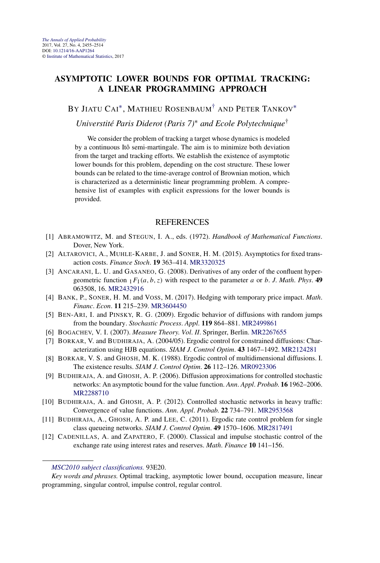# **ASYMPTOTIC LOWER BOUNDS FOR OPTIMAL TRACKING: A LINEAR PROGRAMMING APPROACH**

BY JIATU CAI<sup>\*</sup>, MATHIEU ROSENBAUM<sup>[†](#page-5-0)</sup> AND PETER TANKOV<sup>\*</sup>

*Universtité Paris Diderot (Paris 7)*<sup>∗</sup> *and Ecole Polytechnique*†

We consider the problem of tracking a target whose dynamics is modeled by a continuous Itô semi-martingale. The aim is to minimize both deviation from the target and tracking efforts. We establish the existence of asymptotic lower bounds for this problem, depending on the cost structure. These lower bounds can be related to the time-average control of Brownian motion, which is characterized as a deterministic linear programming problem. A comprehensive list of examples with explicit expressions for the lower bounds is provided.

- [1] ABRAMOWITZ, M. and STEGUN, I. A., eds. (1972). *Handbook of Mathematical Functions*. Dover, New York.
- [2] ALTAROVICI, A., MUHLE-KARBE, J. and SONER, H. M. (2015). Asymptotics for fixed transaction costs. *Finance Stoch*. **19** 363–414. [MR3320325](http://www.ams.org/mathscinet-getitem?mr=3320325)
- [3] ANCARANI, L. U. and GASANEO, G. (2008). Derivatives of any order of the confluent hypergeometric function  $_1F_1(a, b, z)$  with respect to the parameter *a* or *b*. *J. Math. Phys.* **49** 063508, 16. [MR2432916](http://www.ams.org/mathscinet-getitem?mr=2432916)
- [4] BANK, P., SONER, H. M. and VOSS, M. (2017). Hedging with temporary price impact. *Math*. *Financ*. *Econ*. **11** 215–239. [MR3604450](http://www.ams.org/mathscinet-getitem?mr=3604450)
- [5] BEN-ARI, I. and PINSKY, R. G. (2009). Ergodic behavior of diffusions with random jumps from the boundary. *Stochastic Process*. *Appl*. **119** 864–881. [MR2499861](http://www.ams.org/mathscinet-getitem?mr=2499861)
- [6] BOGACHEV, V. I. (2007). *Measure Theory*. *Vol*. *II*. Springer, Berlin. [MR2267655](http://www.ams.org/mathscinet-getitem?mr=2267655)
- [7] BORKAR, V. and BUDHIRAJA, A. (2004/05). Ergodic control for constrained diffusions: Characterization using HJB equations. *SIAM J*. *Control Optim*. **43** 1467–1492. [MR2124281](http://www.ams.org/mathscinet-getitem?mr=2124281)
- [8] BORKAR, V. S. and GHOSH, M. K. (1988). Ergodic control of multidimensional diffusions. I. The existence results. *SIAM J*. *Control Optim*. **26** 112–126. [MR0923306](http://www.ams.org/mathscinet-getitem?mr=0923306)
- [9] BUDHIRAJA, A. and GHOSH, A. P. (2006). Diffusion approximations for controlled stochastic networks: An asymptotic bound for the value function. *Ann*. *Appl*. *Probab*. **16** 1962–2006. [MR2288710](http://www.ams.org/mathscinet-getitem?mr=2288710)
- [10] BUDHIRAJA, A. and GHOSH, A. P. (2012). Controlled stochastic networks in heavy traffic: Convergence of value functions. *Ann*. *Appl*. *Probab*. **22** 734–791. [MR2953568](http://www.ams.org/mathscinet-getitem?mr=2953568)
- [11] BUDHIRAJA, A., GHOSH, A. P. and LEE, C. (2011). Ergodic rate control problem for single class queueing networks. *SIAM J*. *Control Optim*. **49** 1570–1606. [MR2817491](http://www.ams.org/mathscinet-getitem?mr=2817491)
- [12] CADENILLAS, A. and ZAPATERO, F. (2000). Classical and impulse stochastic control of the exchange rate using interest rates and reserves. *Math*. *Finance* **10** 141–156.

*[MSC2010 subject classifications.](http://www.ams.org/mathscinet/msc/msc2010.html)* 93E20.

*Key words and phrases.* Optimal tracking, asymptotic lower bound, occupation measure, linear programming, singular control, impulse control, regular control.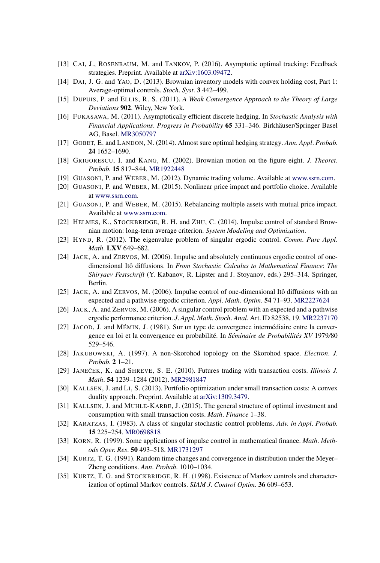- [13] CAI, J., ROSENBAUM, M. and TANKOV, P. (2016). Asymptotic optimal tracking: Feedback strategies. Preprint. Available at [arXiv:1603.09472.](http://arxiv.org/abs/arXiv:1603.09472)
- [14] DAI, J. G. and YAO, D. (2013). Brownian inventory models with convex holding cost, Part 1: Average-optimal controls. *Stoch*. *Syst*. **3** 442–499.
- [15] DUPUIS, P. and ELLIS, R. S. (2011). *A Weak Convergence Approach to the Theory of Large Deviations* **902**. Wiley, New York.
- [16] FUKASAWA, M. (2011). Asymptotically efficient discrete hedging. In *Stochastic Analysis with Financial Applications*. *Progress in Probability* **65** 331–346. Birkhäuser/Springer Basel AG, Basel. [MR3050797](http://www.ams.org/mathscinet-getitem?mr=3050797)
- [17] GOBET, E. and LANDON, N. (2014). Almost sure optimal hedging strategy. *Ann*. *Appl*. *Probab*. **24** 1652–1690.
- [18] GRIGORESCU, I. and KANG, M. (2002). Brownian motion on the figure eight. *J*. *Theoret*. *Probab*. **15** 817–844. [MR1922448](http://www.ams.org/mathscinet-getitem?mr=1922448)
- [19] GUASONI, P. and WEBER, M. (2012). Dynamic trading volume. Available at [www.ssrn.com.](http://www.ssrn.com)
- [20] GUASONI, P. and WEBER, M. (2015). Nonlinear price impact and portfolio choice. Available at [www.ssrn.com](http://www.ssrn.com).
- [21] GUASONI, P. and WEBER, M. (2015). Rebalancing multiple assets with mutual price impact. Available at [www.ssrn.com](http://www.ssrn.com).
- [22] HELMES, K., STOCKBRIDGE, R. H. and ZHU, C. (2014). Impulse control of standard Brownian motion: long-term average criterion. *System Modeling and Optimization*.
- [23] HYND, R. (2012). The eigenvalue problem of singular ergodic control. *Comm*. *Pure Appl*. *Math*. **LXV** 649–682.
- [24] JACK, A. and ZERVOS, M. (2006). Impulse and absolutely continuous ergodic control of onedimensional Itô diffusions. In *From Stochastic Calculus to Mathematical Finance*: *The Shiryaev Festschrift* (Y. Kabanov, R. Lipster and J. Stoyanov, eds.) 295–314. Springer, Berlin.
- [25] JACK, A. and ZERVOS, M. (2006). Impulse control of one-dimensional Itô diffusions with an expected and a pathwise ergodic criterion. *Appl*. *Math*. *Optim*. **54** 71–93. [MR2227624](http://www.ams.org/mathscinet-getitem?mr=2227624)
- [26] JACK, A. and ZERVOS, M. (2006). A singular control problem with an expected and a pathwise ergodic performance criterion. *J*. *Appl*. *Math*. *Stoch*. *Anal*. Art. ID 82538, 19. [MR2237170](http://www.ams.org/mathscinet-getitem?mr=2237170)
- [27] JACOD, J. and MÉMIN, J. (1981). Sur un type de convergence intermédiaire entre la convergence en loi et la convergence en probabilité. In *Séminaire de Probabilités XV* 1979*/*80 529–546.
- [28] JAKUBOWSKI, A. (1997). A non-Skorohod topology on the Skorohod space. *Electron*. *J*. *Probab*. **2** 1–21.
- [29] JANEČEK, K. and SHREVE, S. E. (2010). Futures trading with transaction costs. *Illinois J. Math*. **54** 1239–1284 (2012). [MR2981847](http://www.ams.org/mathscinet-getitem?mr=2981847)
- [30] KALLSEN, J. and LI, S. (2013). Portfolio optimization under small transaction costs: A convex duality approach. Preprint. Available at [arXiv:1309.3479.](http://arxiv.org/abs/arXiv:1309.3479)
- [31] KALLSEN, J. and MUHLE-KARBE, J. (2015). The general structure of optimal investment and consumption with small transaction costs. *Math*. *Finance* 1–38.
- [32] KARATZAS, I. (1983). A class of singular stochastic control problems. *Adv*. *in Appl*. *Probab*. **15** 225–254. [MR0698818](http://www.ams.org/mathscinet-getitem?mr=0698818)
- [33] KORN, R. (1999). Some applications of impulse control in mathematical finance. *Math*. *Methods Oper*. *Res*. **50** 493–518. [MR1731297](http://www.ams.org/mathscinet-getitem?mr=1731297)
- [34] KURTZ, T. G. (1991). Random time changes and convergence in distribution under the Meyer– Zheng conditions. *Ann*. *Probab*. 1010–1034.
- [35] KURTZ, T. G. and STOCKBRIDGE, R. H. (1998). Existence of Markov controls and characterization of optimal Markov controls. *SIAM J*. *Control Optim*. **36** 609–653.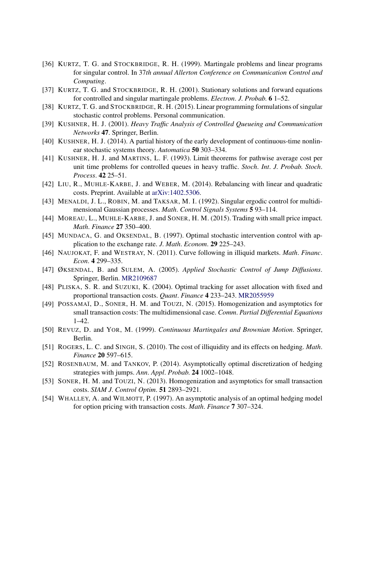- [36] KURTZ, T. G. and STOCKBRIDGE, R. H. (1999). Martingale problems and linear programs for singular control. In 37*th annual Allerton Conference on Communication Control and Computing*.
- [37] KURTZ, T. G. and STOCKBRIDGE, R. H. (2001). Stationary solutions and forward equations for controlled and singular martingale problems. *Electron*. *J*. *Probab*. **6** 1–52.
- [38] KURTZ, T. G. and STOCKBRIDGE, R. H. (2015). Linear programming formulations of singular stochastic control problems. Personal communication.
- [39] KUSHNER, H. J. (2001). *Heavy Traffic Analysis of Controlled Queueing and Communication Networks* **47**. Springer, Berlin.
- [40] KUSHNER, H. J. (2014). A partial history of the early development of continuous-time nonlinear stochastic systems theory. *Automatica* **50** 303–334.
- [41] KUSHNER, H. J. and MARTINS, L. F. (1993). Limit theorems for pathwise average cost per unit time problems for controlled queues in heavy traffic. *Stoch*. *Int*. *J*. *Probab*. *Stoch*. *Process*. **42** 25–51.
- [42] LIU, R., MUHLE-KARBE, J. and WEBER, M. (2014). Rebalancing with linear and quadratic costs. Preprint. Available at [arXiv:1402.5306](http://arxiv.org/abs/arXiv:1402.5306).
- [43] MENALDI, J. L., ROBIN, M. and TAKSAR, M. I. (1992). Singular ergodic control for multidimensional Gaussian processes. *Math*. *Control Signals Systems* **5** 93–114.
- [44] MOREAU, L., MUHLE-KARBE, J. and SONER, H. M. (2015). Trading with small price impact. *Math*. *Finance* **27** 350–400.
- [45] MUNDACA, G. and OKSENDAL, B. (1997). Optimal stochastic intervention control with application to the exchange rate. *J*. *Math*. *Econom*. **29** 225–243.
- [46] NAUJOKAT, F. and WESTRAY, N. (2011). Curve following in illiquid markets. *Math*. *Financ*. *Econ*. **4** 299–335.
- [47] ØKSENDAL, B. and SULEM, A. (2005). *Applied Stochastic Control of Jump Diffusions*. Springer, Berlin. [MR2109687](http://www.ams.org/mathscinet-getitem?mr=2109687)
- [48] PLISKA, S. R. and SUZUKI, K. (2004). Optimal tracking for asset allocation with fixed and proportional transaction costs. *Quant*. *Finance* **4** 233–243. [MR2055959](http://www.ams.org/mathscinet-getitem?mr=2055959)
- [49] POSSAMAÏ, D., SONER, H. M. and TOUZI, N. (2015). Homogenization and asymptotics for small transaction costs: The multidimensional case. *Comm*. *Partial Differential Equations*  $1-42.$
- [50] REVUZ, D. and YOR, M. (1999). *Continuous Martingales and Brownian Motion*. Springer, Berlin.
- [51] ROGERS, L. C. and SINGH, S. (2010). The cost of illiquidity and its effects on hedging. *Math*. *Finance* **20** 597–615.
- [52] ROSENBAUM, M. and TANKOV, P. (2014). Asymptotically optimal discretization of hedging strategies with jumps. *Ann*. *Appl*. *Probab*. **24** 1002–1048.
- [53] SONER, H. M. and TOUZI, N. (2013). Homogenization and asymptotics for small transaction costs. *SIAM J*. *Control Optim*. **51** 2893–2921.
- [54] WHALLEY, A. and WILMOTT, P. (1997). An asymptotic analysis of an optimal hedging model for option pricing with transaction costs. *Math*. *Finance* **7** 307–324.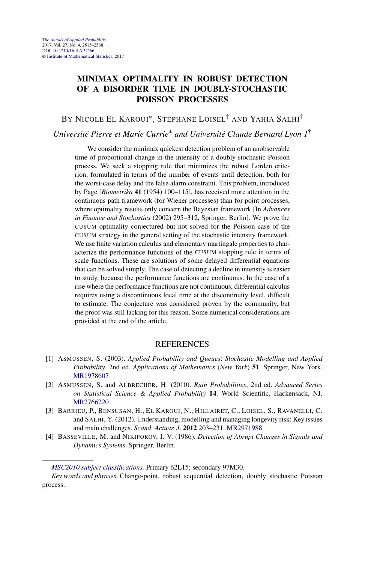# **MINIMAX OPTIMALITY IN ROBUST DETECTION OF A DISORDER TIME IN DOUBLY-STOCHASTIC POISSON PROCESSES**

# BY NICOLE EL KAROUI[∗](#page-1-0), STÉPHANE LOISEL[†](#page-1-0) AND YAHIA SALHI[†](#page-1-0)

## *Université Pierre et Marie Currie*<sup>∗</sup> *and Université Claude Bernard Lyon 1*†

We consider the minimax quickest detection problem of an unobservable time of proportional change in the intensity of a doubly-stochastic Poisson process. We seek a stopping rule that minimizes the robust Lorden criterion, formulated in terms of the number of events until detection, both for the worst-case delay and the false alarm constraint. This problem, introduced by Page [*Biometrika* **41** (1954) 100–115], has received more attention in the continuous path framework (for Wiener processes) than for point processes, where optimality results only concern the Bayesian framework [In *Advances in Finance and Stochastics* (2002) 295–312, Springer, Berlin]. We prove the CUSUM optimality conjectured but not solved for the Poisson case of the CUSUM strategy in the general setting of the stochastic intensity framework. We use finite variation calculus and elementary martingale properties to characterize the performance functions of the CUSUM stopping rule in terms of scale functions. These are solutions of some delayed differential equations that can be solved simply. The case of detecting a decline in intensity is easier to study, because the performance functions are continuous. In the case of a rise where the performance functions are not continuous, differential calculus requires using a discontinuous local time at the discontinuity level, difficult to estimate. The conjecture was considered proven by the community, but the proof was still lacking for this reason. Some numerical considerations are provided at the end of the article.

- [1] ASMUSSEN, S. (2003). *Applied Probability and Queues*: *Stochastic Modelling and Applied Probability*, 2nd ed. *Applications of Mathematics* (*New York*) **51**. Springer, New York. [MR1978607](http://www.ams.org/mathscinet-getitem?mr=1978607)
- [2] ASMUSSEN, S. and ALBRECHER, H. (2010). *Ruin Probabilities*, 2nd ed. *Advanced Series on Statistical Science & Applied Probability* **14**. World Scientific, Hackensack, NJ. [MR2766220](http://www.ams.org/mathscinet-getitem?mr=2766220)
- [3] BARRIEU, P., BENSUSAN, H., EL KAROUI, N., HILLAIRET, C., LOISEL, S., RAVANELLI, C. and SALHI, Y. (2012). Understanding, modelling and managing longevity risk: Key issues and main challenges. *Scand*. *Actuar*. *J*. **2012** 203–231. [MR2971988](http://www.ams.org/mathscinet-getitem?mr=2971988)
- [4] BASSEVILLE, M. and NIKIFOROV, I. V. (1986). *Detection of Abrupt Changes in Signals and Dynamics Systems*. Springer, Berlin.

*[MSC2010 subject classifications.](http://www.ams.org/mathscinet/msc/msc2010.html)* Primary 62L15; secondary 97M30.

*Key words and phrases.* Change-point, robust sequential detection, doubly stochastic Poisson process.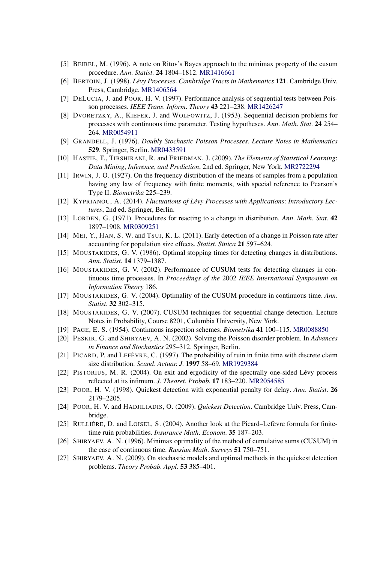- [5] BEIBEL, M. (1996). A note on Ritov's Bayes approach to the minimax property of the cusum procedure. *Ann*. *Statist*. **24** 1804–1812. [MR1416661](http://www.ams.org/mathscinet-getitem?mr=1416661)
- [6] BERTOIN, J. (1998). *Lévy Processes*. *Cambridge Tracts in Mathematics* **121**. Cambridge Univ. Press, Cambridge. [MR1406564](http://www.ams.org/mathscinet-getitem?mr=1406564)
- [7] DELUCIA, J. and POOR, H. V. (1997). Performance analysis of sequential tests between Poisson processes. *IEEE Trans*. *Inform*. *Theory* **43** 221–238. [MR1426247](http://www.ams.org/mathscinet-getitem?mr=1426247)
- [8] DVORETZKY, A., KIEFER, J. and WOLFOWITZ, J. (1953). Sequential decision problems for processes with continuous time parameter. Testing hypotheses. *Ann*. *Math*. *Stat*. **24** 254– 264. [MR0054911](http://www.ams.org/mathscinet-getitem?mr=0054911)
- [9] GRANDELL, J. (1976). *Doubly Stochastic Poisson Processes*. *Lecture Notes in Mathematics* **529**. Springer, Berlin. [MR0433591](http://www.ams.org/mathscinet-getitem?mr=0433591)
- [10] HASTIE, T., TIBSHIRANI, R. and FRIEDMAN, J. (2009). *The Elements of Statistical Learning*: *Data Mining*, *Inference*, *and Prediction*, 2nd ed. Springer, New York. [MR2722294](http://www.ams.org/mathscinet-getitem?mr=2722294)
- [11] IRWIN, J. O. (1927). On the frequency distribution of the means of samples from a population having any law of frequency with finite moments, with special reference to Pearson's Type II. *Biometrika* 225–239.
- [12] KYPRIANOU, A. (2014). *Fluctuations of Lévy Processes with Applications*: *Introductory Lectures*, 2nd ed. Springer, Berlin.
- [13] LORDEN, G. (1971). Procedures for reacting to a change in distribution. *Ann*. *Math*. *Stat*. **42** 1897–1908. [MR0309251](http://www.ams.org/mathscinet-getitem?mr=0309251)
- [14] MEI, Y., HAN, S. W. and TSUI, K. L. (2011). Early detection of a change in Poisson rate after accounting for population size effects. *Statist*. *Sinica* **21** 597–624.
- [15] MOUSTAKIDES, G. V. (1986). Optimal stopping times for detecting changes in distributions. *Ann*. *Statist*. **14** 1379–1387.
- [16] MOUSTAKIDES, G. V. (2002). Performance of CUSUM tests for detecting changes in continuous time processes. In *Proceedings of the* 2002 *IEEE International Symposium on Information Theory* 186.
- [17] MOUSTAKIDES, G. V. (2004). Optimality of the CUSUM procedure in continuous time. *Ann*. *Statist*. **32** 302–315.
- [18] MOUSTAKIDES, G. V. (2007). CUSUM techniques for sequential change detection. Lecture Notes in Probability, Course 8201, Columbia University, New York.
- [19] PAGE, E. S. (1954). Continuous inspection schemes. *Biometrika* **41** 100–115. [MR0088850](http://www.ams.org/mathscinet-getitem?mr=0088850)
- [20] PESKIR, G. and SHIRYAEV, A. N. (2002). Solving the Poisson disorder problem. In *Advances in Finance and Stochastics* 295–312. Springer, Berlin.
- [21] PICARD, P. and LEFÈVRE, C. (1997). The probability of ruin in finite time with discrete claim size distribution. *Scand*. *Actuar*. *J*. **1997** 58–69. [MR1929384](http://www.ams.org/mathscinet-getitem?mr=1929384)
- [22] PISTORIUS, M. R. (2004). On exit and ergodicity of the spectrally one-sided Lévy process reflected at its infimum. *J*. *Theoret*. *Probab*. **17** 183–220. [MR2054585](http://www.ams.org/mathscinet-getitem?mr=2054585)
- [23] POOR, H. V. (1998). Quickest detection with exponential penalty for delay. *Ann*. *Statist*. **26** 2179–2205.
- [24] POOR, H. V. and HADJILIADIS, O. (2009). *Quickest Detection*. Cambridge Univ. Press, Cambridge.
- [25] RULLIÈRE, D. and LOISEL, S. (2004). Another look at the Picard–Lefèvre formula for finitetime ruin probabilities. *Insurance Math*. *Econom*. **35** 187–203.
- [26] SHIRYAEV, A. N. (1996). Minimax optimality of the method of cumulative sums (CUSUM) in the case of continuous time. *Russian Math*. *Surveys* **51** 750–751.
- [27] SHIRYAEV, A. N. (2009). On stochastic models and optimal methods in the quickest detection problems. *Theory Probab*. *Appl*. **53** 385–401.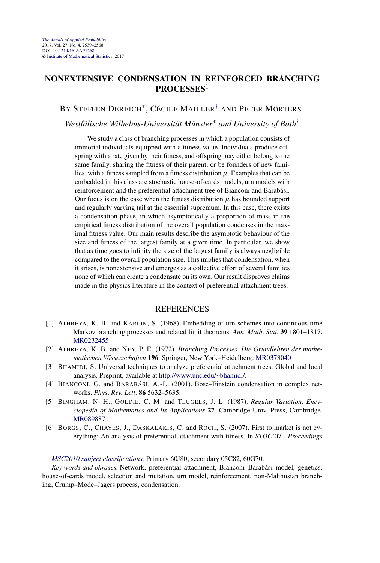# **NONEXTENSIVE CONDENSATION IN REINFORCED BRANCHING PROCESSES**<sup>1</sup>

# BY STEFFEN DEREICH<sup>\*</sup>, CÉCILE MAILLER<sup>[†](#page-1-0)</sup> AND PETER MÖRTERS<sup>†</sup>

# *Westfälische Wilhelms-Universität Münster*<sup>∗</sup> *and University of Bath*†

We study a class of branching processes in which a population consists of immortal individuals equipped with a fitness value. Individuals produce offspring with a rate given by their fitness, and offspring may either belong to the same family, sharing the fitness of their parent, or be founders of new families, with a fitness sampled from a fitness distribution  $\mu$ . Examples that can be embedded in this class are stochastic house-of-cards models, urn models with reinforcement and the preferential attachment tree of Bianconi and Barabási. Our focus is on the case when the fitness distribution  $\mu$  has bounded support and regularly varying tail at the essential supremum. In this case, there exists a condensation phase, in which asymptotically a proportion of mass in the empirical fitness distribution of the overall population condenses in the maximal fitness value. Our main results describe the asymptotic behaviour of the size and fitness of the largest family at a given time. In particular, we show that as time goes to infinity the size of the largest family is always negligible compared to the overall population size. This implies that condensation, when it arises, is nonextensive and emerges as a collective effort of several families none of which can create a condensate on its own. Our result disproves claims made in the physics literature in the context of preferential attachment trees.

- [1] ATHREYA, K. B. and KARLIN, S. (1968). Embedding of urn schemes into continuous time Markov branching processes and related limit theorems. *Ann*. *Math*. *Stat*. **39** 1801–1817. [MR0232455](http://www.ams.org/mathscinet-getitem?mr=0232455)
- [2] ATHREYA, K. B. and NEY, P. E. (1972). *Branching Processes*. *Die Grundlehren der mathematischen Wissenschaften* **196**. Springer, New York–Heidelberg. [MR0373040](http://www.ams.org/mathscinet-getitem?mr=0373040)
- [3] BHAMIDI, S. Universal techniques to analyze preferential attachment trees: Global and local analysis. Preprint, available at <http://www.unc.edu/~bhamidi/>.
- [4] BIANCONI, G. and BARABÁSI, A.-L. (2001). Bose–Einstein condensation in complex networks. *Phys*. *Rev*. *Lett*. **86** 5632–5635.
- [5] BINGHAM, N. H., GOLDIE, C. M. and TEUGELS, J. L. (1987). *Regular Variation*. *Encyclopedia of Mathematics and Its Applications* **27**. Cambridge Univ. Press, Cambridge. [MR0898871](http://www.ams.org/mathscinet-getitem?mr=0898871)
- [6] BORGS, C., CHAYES, J., DASKALAKIS, C. and ROCH, S. (2007). First to market is not everything: An analysis of preferential attachment with fitness. In *STOC'*07*—Proceedings*

*[MSC2010 subject classifications.](http://www.ams.org/mathscinet/msc/msc2010.html)* Primary 60J80; secondary 05C82, 60G70.

*Key words and phrases.* Network, preferential attachment, Bianconi–Barabási model, genetics, house-of-cards model, selection and mutation, urn model, reinforcement, non-Malthusian branching, Crump–Mode–Jagers process, condensation.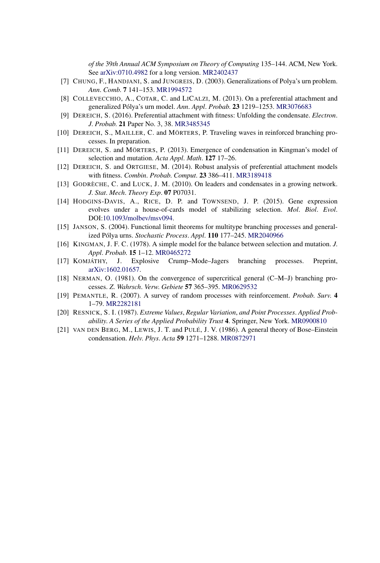*of the* 39*th Annual ACM Symposium on Theory of Computing* 135–144. ACM, New York. See [arXiv:0710.4982](http://arxiv.org/abs/arXiv:0710.4982) for a long version. [MR2402437](http://www.ams.org/mathscinet-getitem?mr=2402437)

- [7] CHUNG, F., HANDJANI, S. and JUNGREIS, D. (2003). Generalizations of Polya's urn problem. *Ann*. *Comb*. **7** 141–153. [MR1994572](http://www.ams.org/mathscinet-getitem?mr=1994572)
- [8] COLLEVECCHIO, A., COTAR, C. and LICALZI, M. (2013). On a preferential attachment and generalized Pólya's urn model. *Ann*. *Appl*. *Probab*. **23** 1219–1253. [MR3076683](http://www.ams.org/mathscinet-getitem?mr=3076683)
- [9] DEREICH, S. (2016). Preferential attachment with fitness: Unfolding the condensate. *Electron*. *J*. *Probab*. **21** Paper No. 3, 38. [MR3485345](http://www.ams.org/mathscinet-getitem?mr=3485345)
- [10] DEREICH, S., MAILLER, C. and MÖRTERS, P. Traveling waves in reinforced branching processes. In preparation.
- [11] DEREICH, S. and MÖRTERS, P. (2013). Emergence of condensation in Kingman's model of selection and mutation. *Acta Appl*. *Math*. **127** 17–26.
- [12] DEREICH, S. and ORTGIESE, M. (2014). Robust analysis of preferential attachment models with fitness. *Combin*. *Probab*. *Comput*. **23** 386–411. [MR3189418](http://www.ams.org/mathscinet-getitem?mr=3189418)
- [13] GODRÈCHE, C. and LUCK, J. M. (2010). On leaders and condensates in a growing network. *J*. *Stat*. *Mech*. *Theory Exp*. **07** P07031.
- [14] HODGINS-DAVIS, A., RICE, D. P. and TOWNSEND, J. P. (2015). Gene expression evolves under a house-of-cards model of stabilizing selection. *Mol*. *Biol*. *Evol*. DOI[:10.1093/molbev/msv094.](http://dx.doi.org/10.1093/molbev/msv094)
- [15] JANSON, S. (2004). Functional limit theorems for multitype branching processes and generalized Pólya urns. *Stochastic Process*. *Appl*. **110** 177–245. [MR2040966](http://www.ams.org/mathscinet-getitem?mr=2040966)
- [16] KINGMAN, J. F. C. (1978). A simple model for the balance between selection and mutation. *J*. *Appl*. *Probab*. **15** 1–12. [MR0465272](http://www.ams.org/mathscinet-getitem?mr=0465272)
- [17] KOMJÁTHY, J. Explosive Crump–Mode–Jagers branching processes. Preprint, [arXiv:1602.01657](http://arxiv.org/abs/arXiv:1602.01657).
- [18] NERMAN, O. (1981). On the convergence of supercritical general (C–M–J) branching processes. *Z*. *Wahrsch*. *Verw*. *Gebiete* **57** 365–395. [MR0629532](http://www.ams.org/mathscinet-getitem?mr=0629532)
- [19] PEMANTLE, R. (2007). A survey of random processes with reinforcement. *Probab*. *Surv*. **4** 1–79. [MR2282181](http://www.ams.org/mathscinet-getitem?mr=2282181)
- [20] RESNICK, S. I. (1987). *Extreme Values*, *Regular Variation*, *and Point Processes*. *Applied Probability*. *A Series of the Applied Probability Trust* **4**. Springer, New York. [MR0900810](http://www.ams.org/mathscinet-getitem?mr=0900810)
- [21] VAN DEN BERG, M., LEWIS, J. T. and PULÉ, J. V. (1986). A general theory of Bose–Einstein condensation. *Helv*. *Phys*. *Acta* **59** 1271–1288. [MR0872971](http://www.ams.org/mathscinet-getitem?mr=0872971)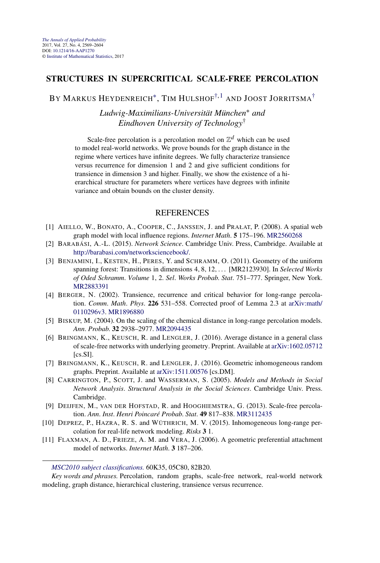# **STRUCTURES IN SUPERCRITICAL SCALE-FREE PERCOLATION**

# BY MARKUS HEYDENREICH<sup>\*</sup>, TIM HULSHOF<sup>[†,](#page-5-0) 1</sup> AND JOOST JORRITSMA<sup>[†](#page-5-0)</sup>

*Ludwig-Maximilians-Universität München*∗ *and Eindhoven University of Technology*†

Scale-free percolation is a percolation model on  $\mathbb{Z}^d$  which can be used to model real-world networks. We prove bounds for the graph distance in the regime where vertices have infinite degrees. We fully characterize transience versus recurrence for dimension 1 and 2 and give sufficient conditions for transience in dimension 3 and higher. Finally, we show the existence of a hierarchical structure for parameters where vertices have degrees with infinite variance and obtain bounds on the cluster density.

- [1] AIELLO, W., BONATO, A., COOPER, C., JANSSEN, J. and PRAŁAT, P. (2008). A spatial web graph model with local influence regions. *Internet Math*. **5** 175–196. [MR2560268](http://www.ams.org/mathscinet-getitem?mr=2560268)
- [2] BARABÁSI, A.-L. (2015). *Network Science*. Cambridge Univ. Press, Cambridge. Available at <http://barabasi.com/networksciencebook/>.
- [3] BENJAMINI, I., KESTEN, H., PERES, Y. and SCHRAMM, O. (2011). Geometry of the uniform spanning forest: Transitions in dimensions 4*,* 8*,* 12*,...* [MR2123930]. In *Selected Works of Oded Schramm*. *Volume* 1, 2. *Sel*. *Works Probab*. *Stat*. 751–777. Springer, New York. [MR2883391](http://www.ams.org/mathscinet-getitem?mr=2883391)
- [4] BERGER, N. (2002). Transience, recurrence and critical behavior for long-range percolation. *Comm*. *Math*. *Phys*. **226** 531–558. Corrected proof of Lemma 2.3 at [arXiv:math/](http://arxiv.org/abs/arXiv:math/0110296v3) [0110296v3](http://arxiv.org/abs/arXiv:math/0110296v3). [MR1896880](http://www.ams.org/mathscinet-getitem?mr=1896880)
- [5] BISKUP, M. (2004). On the scaling of the chemical distance in long-range percolation models. *Ann*. *Probab*. **32** 2938–2977. [MR2094435](http://www.ams.org/mathscinet-getitem?mr=2094435)
- [6] BRINGMANN, K., KEUSCH, R. and LENGLER, J. (2016). Average distance in a general class of scale-free networks with underlying geometry. Preprint. Available at [arXiv:1602.05712](http://arxiv.org/abs/arXiv:1602.05712)  $[cs.SI]$ .
- [7] BRINGMANN, K., KEUSCH, R. and LENGLER, J. (2016). Geometric inhomogeneous random graphs. Preprint. Available at [arXiv:1511.00576](http://arxiv.org/abs/arXiv:1511.00576) [cs.DM].
- [8] CARRINGTON, P., SCOTT, J. and WASSERMAN, S. (2005). *Models and Methods in Social Network Analysis*. *Structural Analysis in the Social Sciences*. Cambridge Univ. Press. Cambridge.
- [9] DEIJFEN, M., VAN DER HOFSTAD, R. and HOOGHIEMSTRA, G. (2013). Scale-free percolation. *Ann*. *Inst*. *Henri Poincaré Probab*. *Stat*. **49** 817–838. [MR3112435](http://www.ams.org/mathscinet-getitem?mr=3112435)
- [10] DEPREZ, P., HAZRA, R. S. and WÜTHRICH, M. V. (2015). Inhomogeneous long-range percolation for real-life network modeling. *Risks* **3** 1.
- [11] FLAXMAN, A. D., FRIEZE, A. M. and VERA, J. (2006). A geometric preferential attachment model of networks. *Internet Math*. **3** 187–206.

*[MSC2010 subject classifications.](http://www.ams.org/mathscinet/msc/msc2010.html)* 60K35, 05C80, 82B20.

*Key words and phrases.* Percolation, random graphs, scale-free network, real-world network modeling, graph distance, hierarchical clustering, transience versus recurrence.